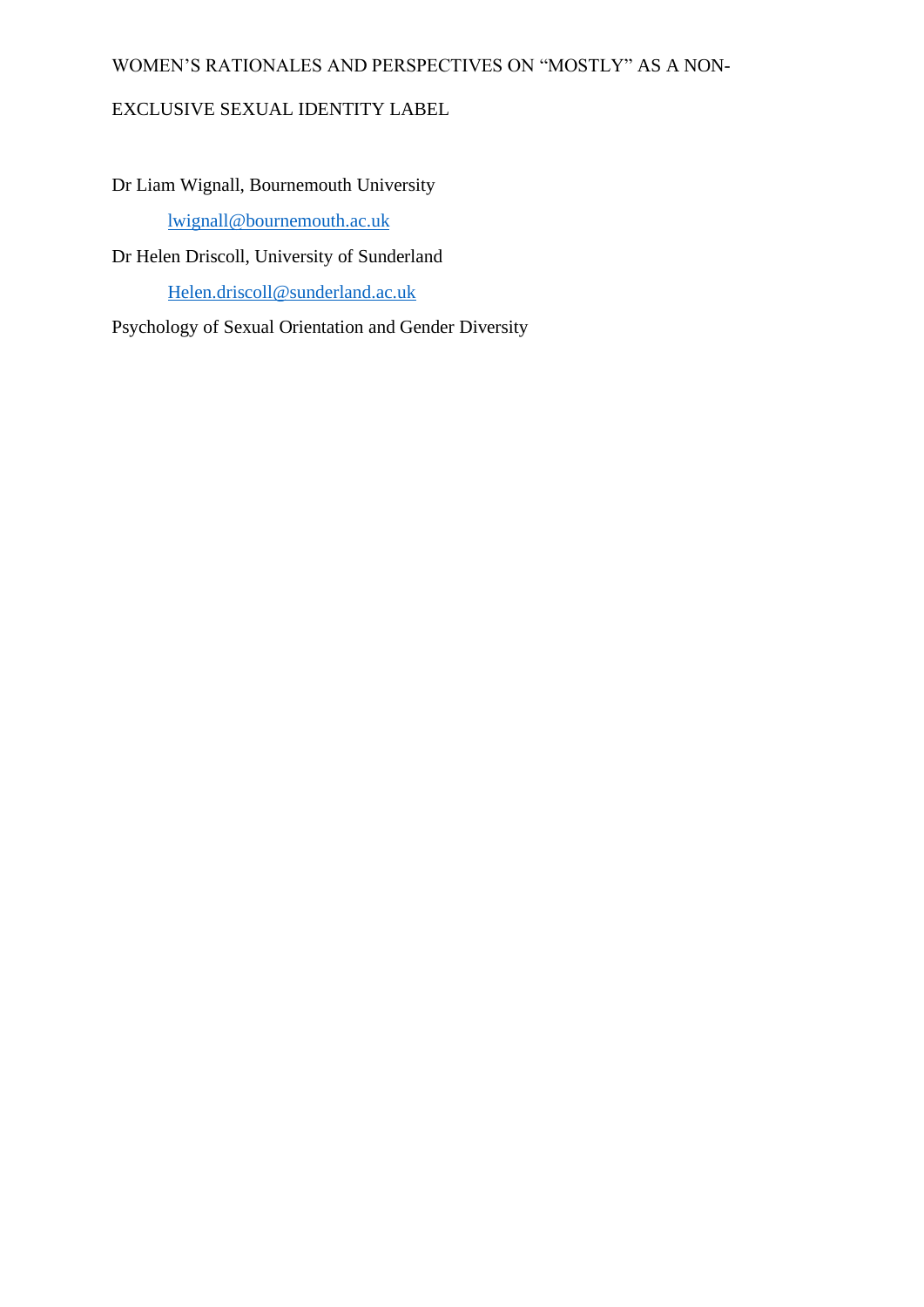### WOMEN'S RATIONALES AND PERSPECTIVES ON "MOSTLY" AS A NON-

### EXCLUSIVE SEXUAL IDENTITY LABEL

Dr Liam Wignall, Bournemouth University [lwignall@bournemouth.ac.uk](mailto:lwignall@bournemouth.ac.uk) Dr Helen Driscoll, University of Sunderland [Helen.driscoll@sunderland.ac.uk](mailto:Helen.driscoll@sunderland.ac.uk)

Psychology of Sexual Orientation and Gender Diversity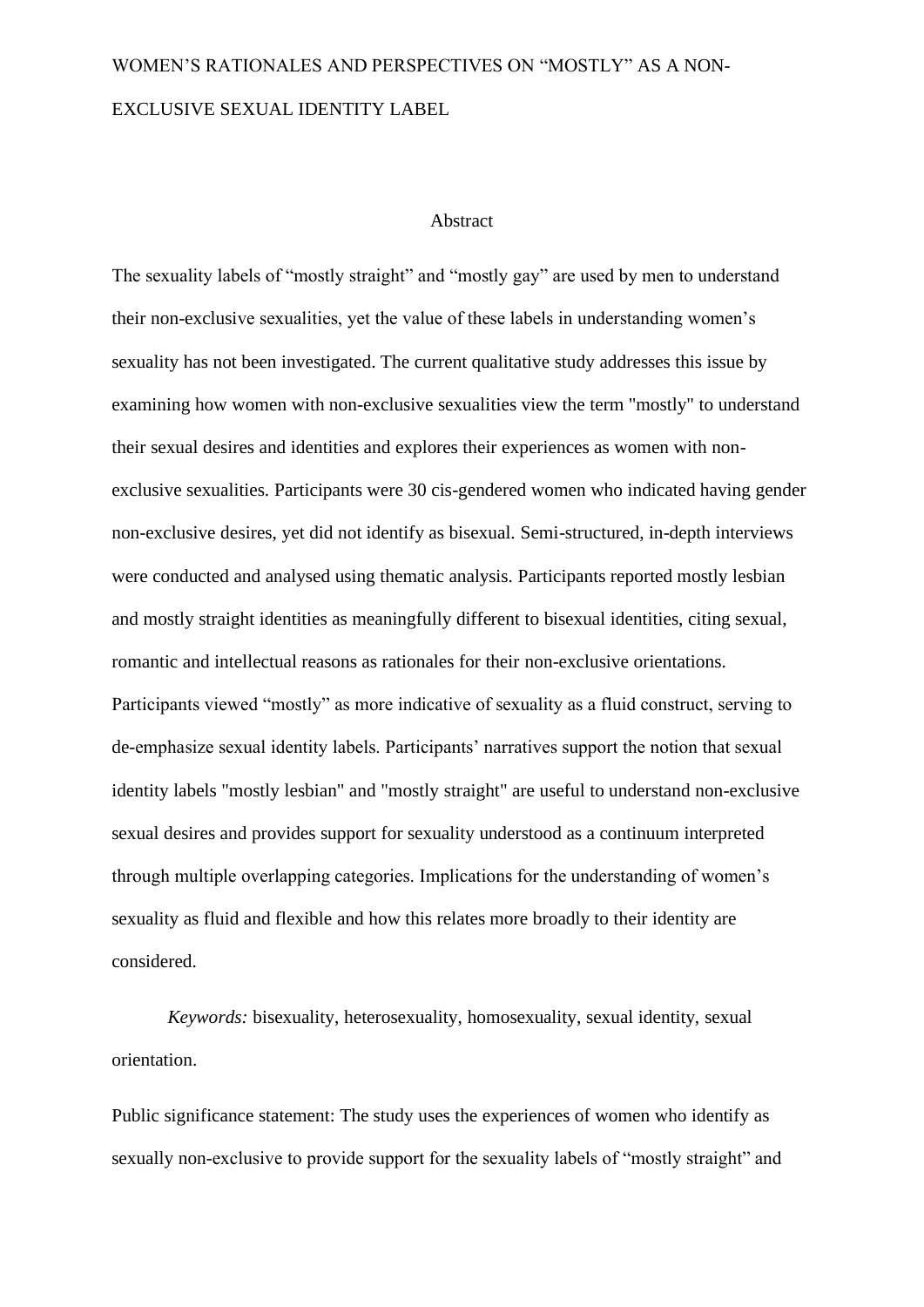#### Abstract

The sexuality labels of "mostly straight" and "mostly gay" are used by men to understand their non-exclusive sexualities, yet the value of these labels in understanding women's sexuality has not been investigated. The current qualitative study addresses this issue by examining how women with non-exclusive sexualities view the term "mostly" to understand their sexual desires and identities and explores their experiences as women with nonexclusive sexualities. Participants were 30 cis-gendered women who indicated having gender non-exclusive desires, yet did not identify as bisexual. Semi-structured, in-depth interviews were conducted and analysed using thematic analysis. Participants reported mostly lesbian and mostly straight identities as meaningfully different to bisexual identities, citing sexual, romantic and intellectual reasons as rationales for their non-exclusive orientations. Participants viewed "mostly" as more indicative of sexuality as a fluid construct, serving to de-emphasize sexual identity labels. Participants' narratives support the notion that sexual identity labels "mostly lesbian" and "mostly straight" are useful to understand non-exclusive sexual desires and provides support for sexuality understood as a continuum interpreted through multiple overlapping categories. Implications for the understanding of women's sexuality as fluid and flexible and how this relates more broadly to their identity are considered.

*Keywords:* bisexuality, heterosexuality, homosexuality, sexual identity, sexual orientation.

Public significance statement: The study uses the experiences of women who identify as sexually non-exclusive to provide support for the sexuality labels of "mostly straight" and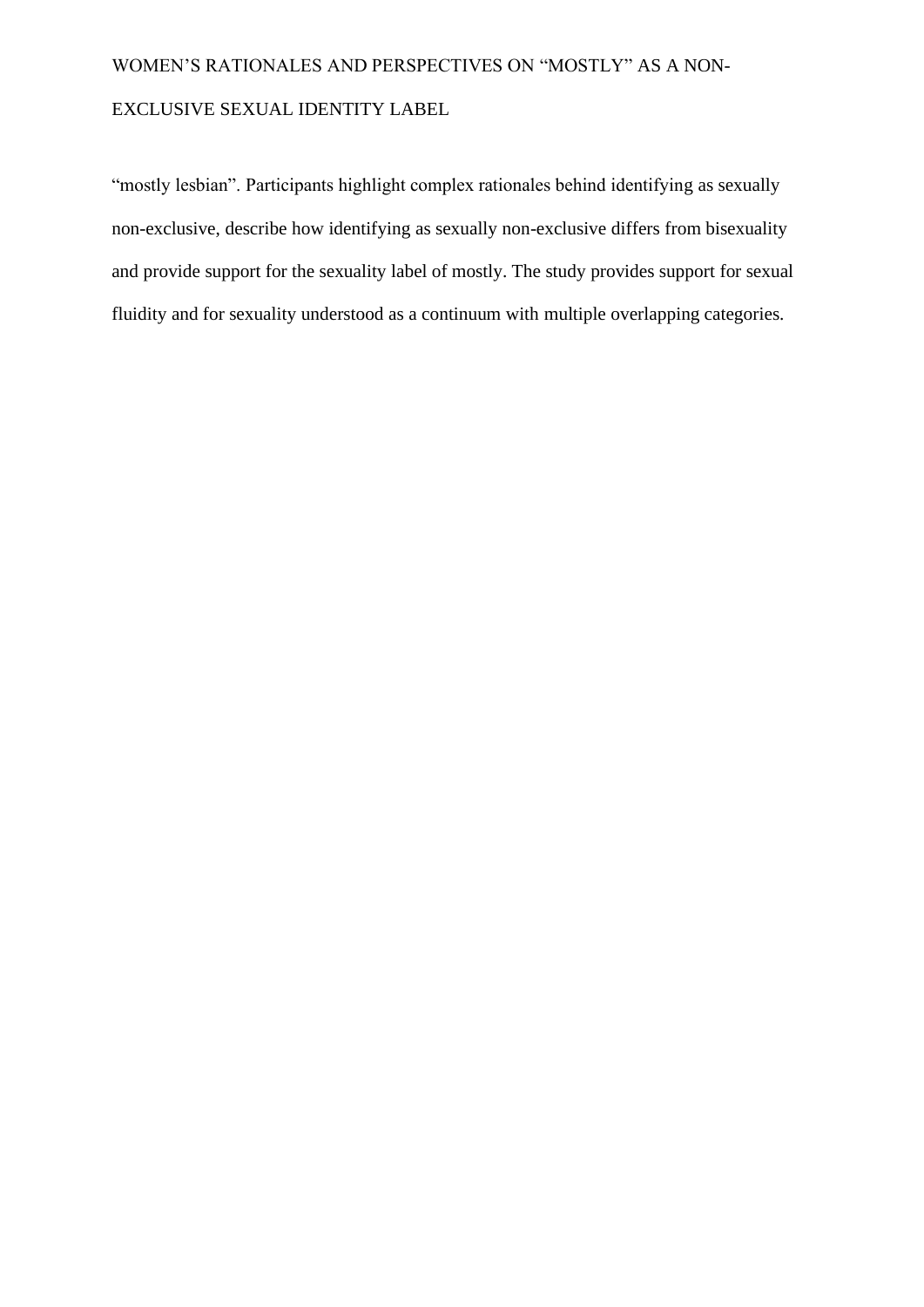"mostly lesbian". Participants highlight complex rationales behind identifying as sexually non-exclusive, describe how identifying as sexually non-exclusive differs from bisexuality and provide support for the sexuality label of mostly. The study provides support for sexual fluidity and for sexuality understood as a continuum with multiple overlapping categories.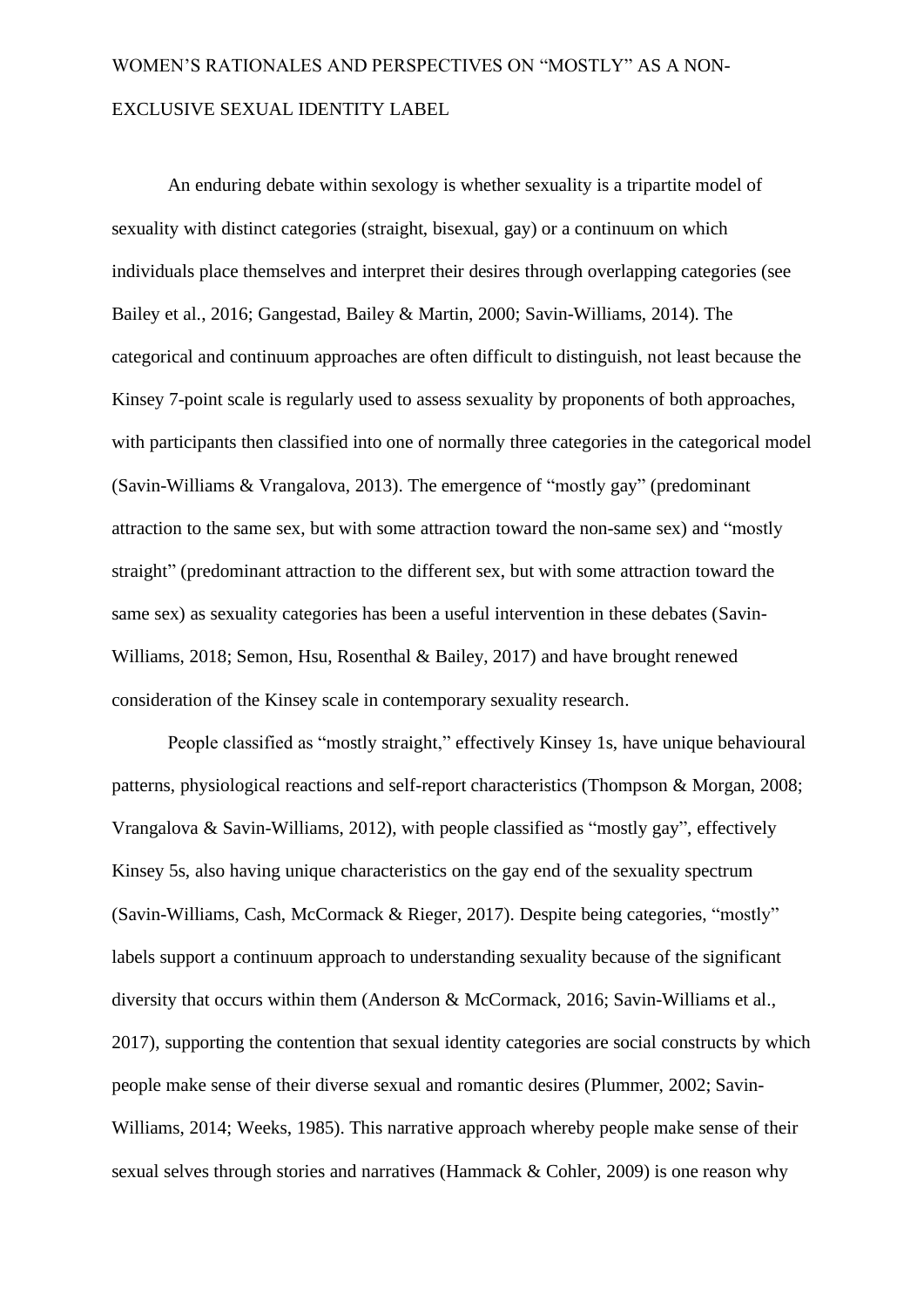An enduring debate within sexology is whether sexuality is a tripartite model of sexuality with distinct categories (straight, bisexual, gay) or a continuum on which individuals place themselves and interpret their desires through overlapping categories (see Bailey et al., 2016; Gangestad, Bailey & Martin, 2000; Savin-Williams, 2014). The categorical and continuum approaches are often difficult to distinguish, not least because the Kinsey 7-point scale is regularly used to assess sexuality by proponents of both approaches, with participants then classified into one of normally three categories in the categorical model (Savin-Williams & Vrangalova, 2013). The emergence of "mostly gay" (predominant attraction to the same sex, but with some attraction toward the non-same sex) and "mostly straight" (predominant attraction to the different sex, but with some attraction toward the same sex) as sexuality categories has been a useful intervention in these debates (Savin-Williams, 2018; Semon, Hsu, Rosenthal & Bailey, 2017) and have brought renewed consideration of the Kinsey scale in contemporary sexuality research.

People classified as "mostly straight," effectively Kinsey 1s, have unique behavioural patterns, physiological reactions and self-report characteristics (Thompson & Morgan, 2008; Vrangalova & Savin-Williams, 2012), with people classified as "mostly gay", effectively Kinsey 5s, also having unique characteristics on the gay end of the sexuality spectrum (Savin-Williams, Cash, McCormack & Rieger, 2017). Despite being categories, "mostly" labels support a continuum approach to understanding sexuality because of the significant diversity that occurs within them (Anderson & McCormack, 2016; Savin-Williams et al., 2017), supporting the contention that sexual identity categories are social constructs by which people make sense of their diverse sexual and romantic desires (Plummer, 2002; Savin-Williams, 2014; Weeks, 1985). This narrative approach whereby people make sense of their sexual selves through stories and narratives (Hammack & Cohler, 2009) is one reason why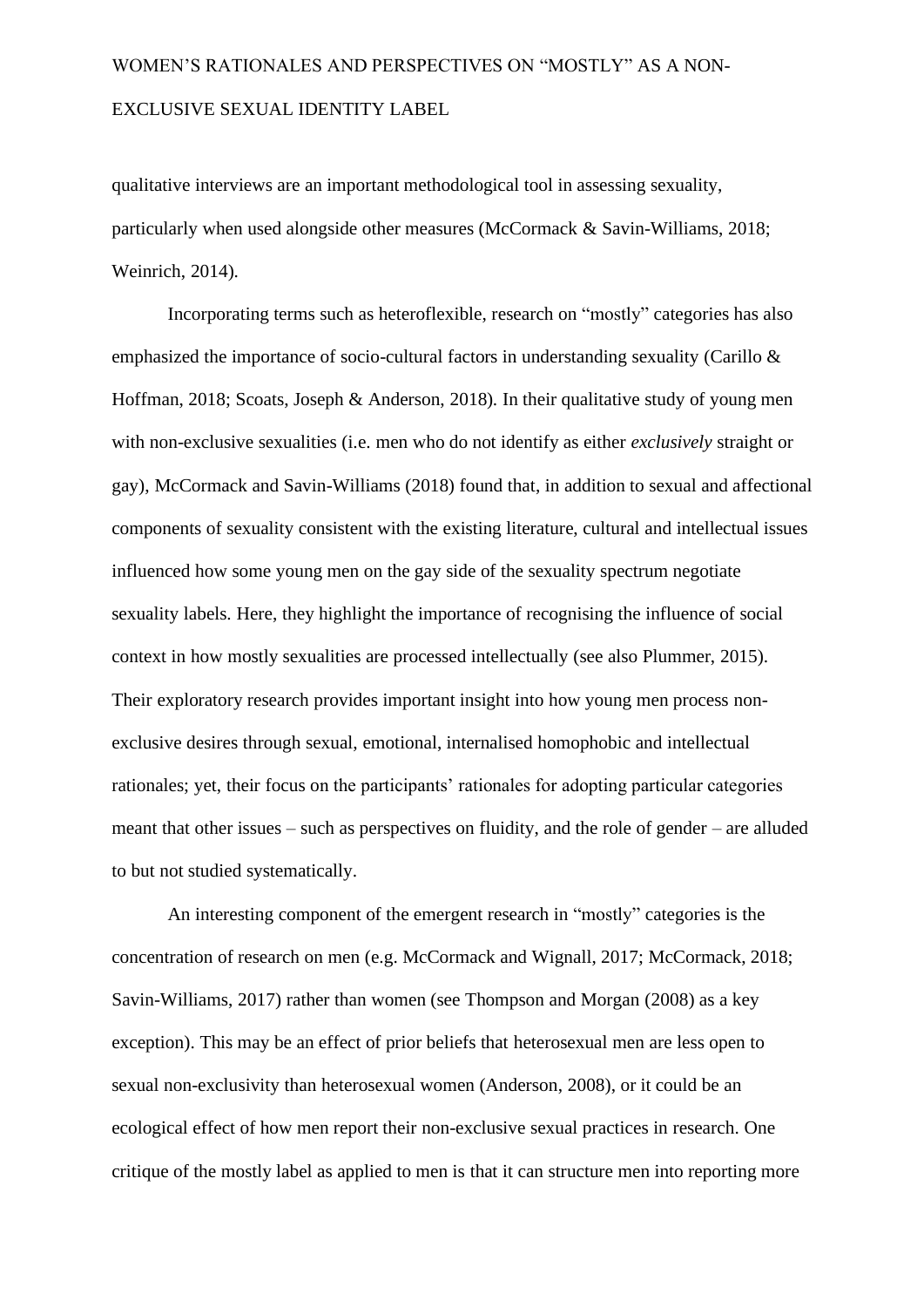qualitative interviews are an important methodological tool in assessing sexuality, particularly when used alongside other measures (McCormack & Savin-Williams, 2018; Weinrich, 2014).

Incorporating terms such as heteroflexible, research on "mostly" categories has also emphasized the importance of socio-cultural factors in understanding sexuality (Carillo & Hoffman, 2018; Scoats, Joseph & Anderson, 2018). In their qualitative study of young men with non-exclusive sexualities (i.e. men who do not identify as either *exclusively* straight or gay), McCormack and Savin-Williams (2018) found that, in addition to sexual and affectional components of sexuality consistent with the existing literature, cultural and intellectual issues influenced how some young men on the gay side of the sexuality spectrum negotiate sexuality labels. Here, they highlight the importance of recognising the influence of social context in how mostly sexualities are processed intellectually (see also Plummer, 2015). Their exploratory research provides important insight into how young men process nonexclusive desires through sexual, emotional, internalised homophobic and intellectual rationales; yet, their focus on the participants' rationales for adopting particular categories meant that other issues – such as perspectives on fluidity, and the role of gender – are alluded to but not studied systematically.

An interesting component of the emergent research in "mostly" categories is the concentration of research on men (e.g. McCormack and Wignall, 2017; McCormack, 2018; Savin-Williams, 2017) rather than women (see Thompson and Morgan (2008) as a key exception). This may be an effect of prior beliefs that heterosexual men are less open to sexual non-exclusivity than heterosexual women (Anderson, 2008), or it could be an ecological effect of how men report their non-exclusive sexual practices in research. One critique of the mostly label as applied to men is that it can structure men into reporting more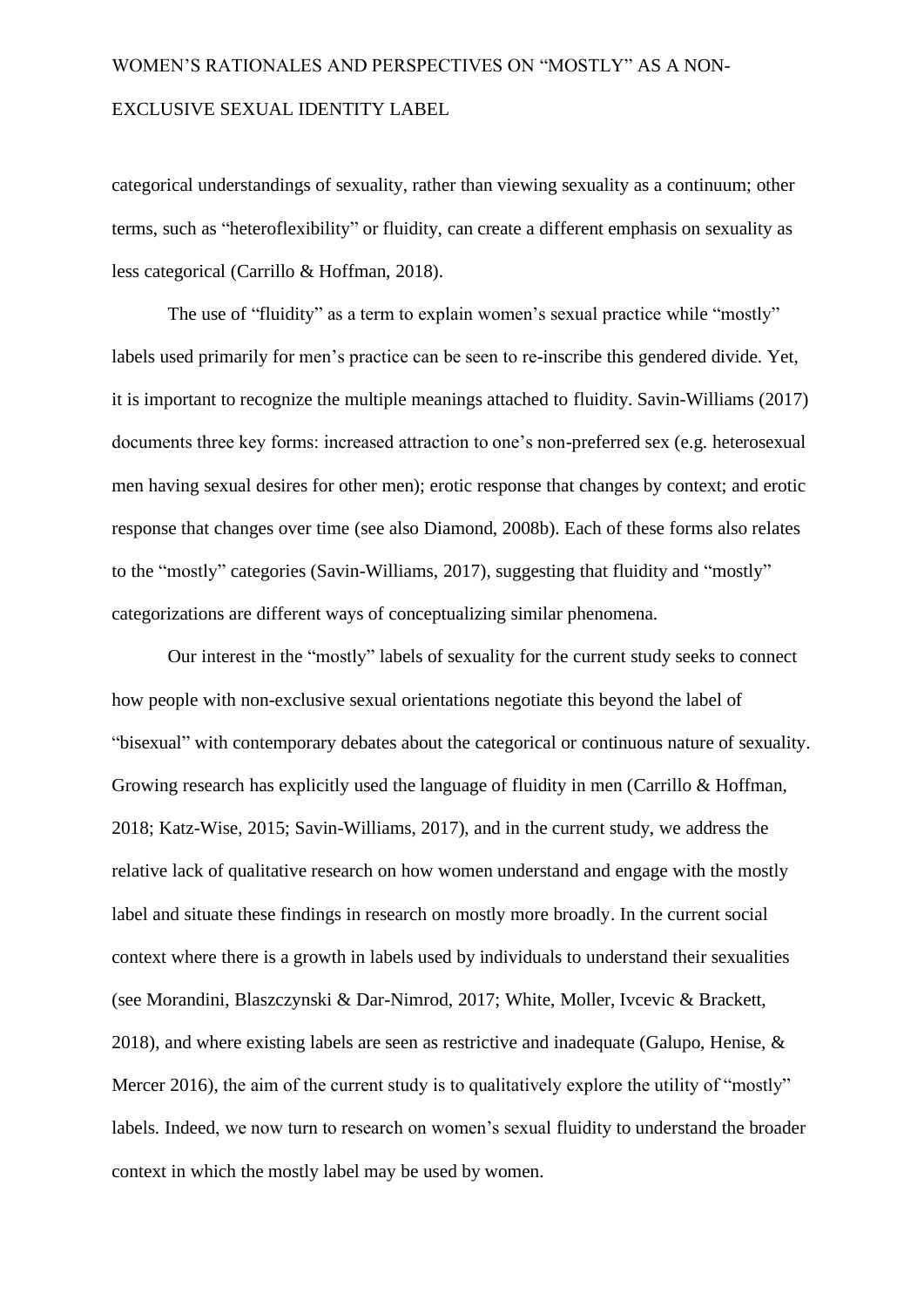categorical understandings of sexuality, rather than viewing sexuality as a continuum; other terms, such as "heteroflexibility" or fluidity, can create a different emphasis on sexuality as less categorical (Carrillo & Hoffman, 2018).

The use of "fluidity" as a term to explain women's sexual practice while "mostly" labels used primarily for men's practice can be seen to re-inscribe this gendered divide. Yet, it is important to recognize the multiple meanings attached to fluidity. Savin-Williams (2017) documents three key forms: increased attraction to one's non-preferred sex (e.g. heterosexual men having sexual desires for other men); erotic response that changes by context; and erotic response that changes over time (see also Diamond, 2008b). Each of these forms also relates to the "mostly" categories (Savin-Williams, 2017), suggesting that fluidity and "mostly" categorizations are different ways of conceptualizing similar phenomena.

Our interest in the "mostly" labels of sexuality for the current study seeks to connect how people with non-exclusive sexual orientations negotiate this beyond the label of "bisexual" with contemporary debates about the categorical or continuous nature of sexuality. Growing research has explicitly used the language of fluidity in men (Carrillo & Hoffman, 2018; Katz-Wise, 2015; Savin-Williams, 2017), and in the current study, we address the relative lack of qualitative research on how women understand and engage with the mostly label and situate these findings in research on mostly more broadly. In the current social context where there is a growth in labels used by individuals to understand their sexualities (see Morandini, Blaszczynski & Dar-Nimrod, 2017; White, Moller, Ivcevic & Brackett, 2018), and where existing labels are seen as restrictive and inadequate (Galupo, Henise, & Mercer 2016), the aim of the current study is to qualitatively explore the utility of "mostly" labels. Indeed, we now turn to research on women's sexual fluidity to understand the broader context in which the mostly label may be used by women.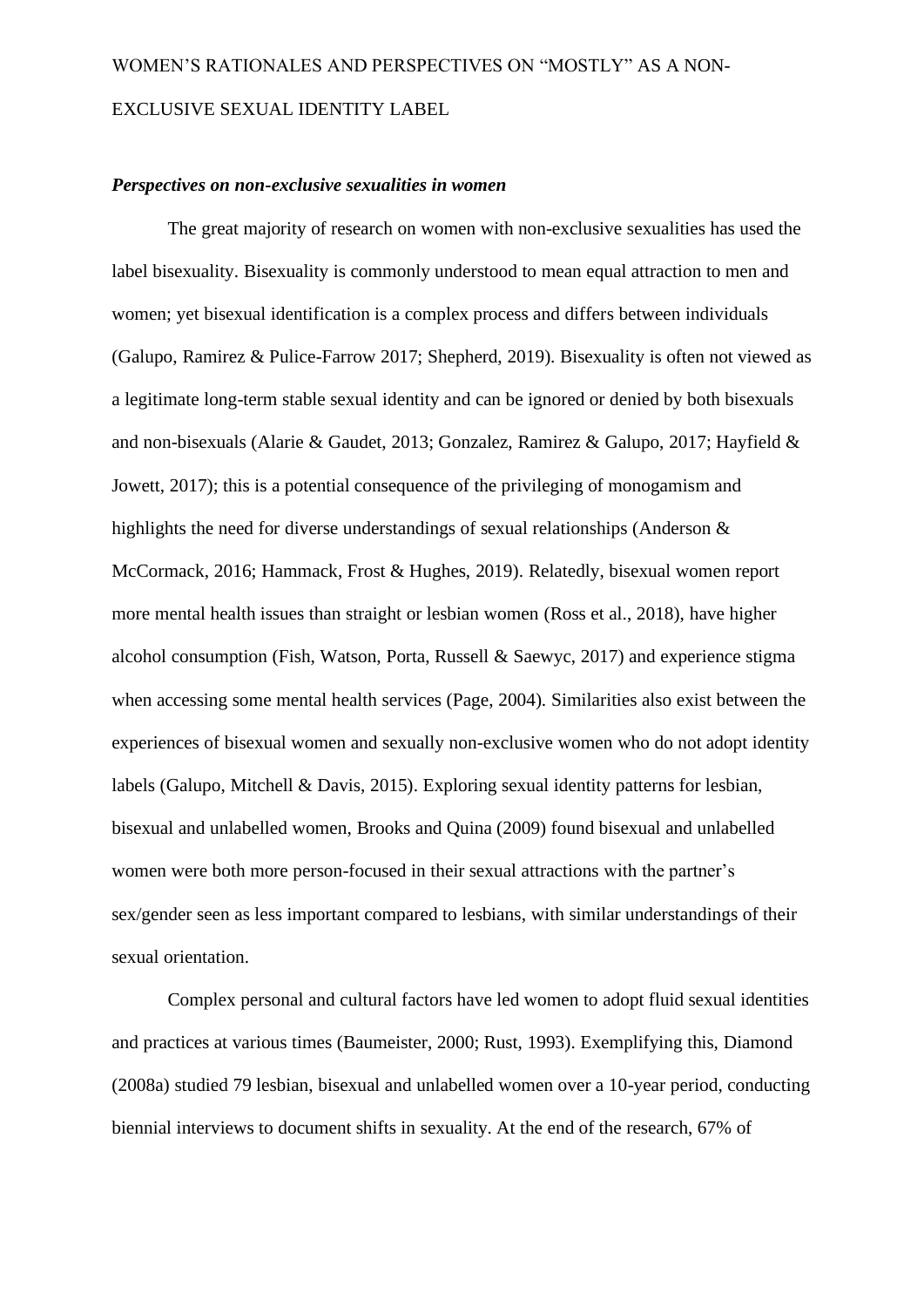#### *Perspectives on non-exclusive sexualities in women*

The great majority of research on women with non-exclusive sexualities has used the label bisexuality. Bisexuality is commonly understood to mean equal attraction to men and women; yet bisexual identification is a complex process and differs between individuals (Galupo, Ramirez & Pulice-Farrow 2017; Shepherd, 2019). Bisexuality is often not viewed as a legitimate long-term stable sexual identity and can be ignored or denied by both bisexuals and non-bisexuals (Alarie & Gaudet, 2013; Gonzalez, Ramirez & Galupo, 2017; Hayfield & Jowett, 2017); this is a potential consequence of the privileging of monogamism and highlights the need for diverse understandings of sexual relationships (Anderson & McCormack, 2016; Hammack, Frost & Hughes, 2019). Relatedly, bisexual women report more mental health issues than straight or lesbian women (Ross et al., 2018), have higher alcohol consumption (Fish, Watson, Porta, Russell & Saewyc, 2017) and experience stigma when accessing some mental health services (Page, 2004). Similarities also exist between the experiences of bisexual women and sexually non-exclusive women who do not adopt identity labels (Galupo, Mitchell & Davis, 2015). Exploring sexual identity patterns for lesbian, bisexual and unlabelled women, Brooks and Quina (2009) found bisexual and unlabelled women were both more person-focused in their sexual attractions with the partner's sex/gender seen as less important compared to lesbians, with similar understandings of their sexual orientation.

Complex personal and cultural factors have led women to adopt fluid sexual identities and practices at various times (Baumeister, 2000; Rust, 1993). Exemplifying this, Diamond (2008a) studied 79 lesbian, bisexual and unlabelled women over a 10-year period, conducting biennial interviews to document shifts in sexuality. At the end of the research, 67% of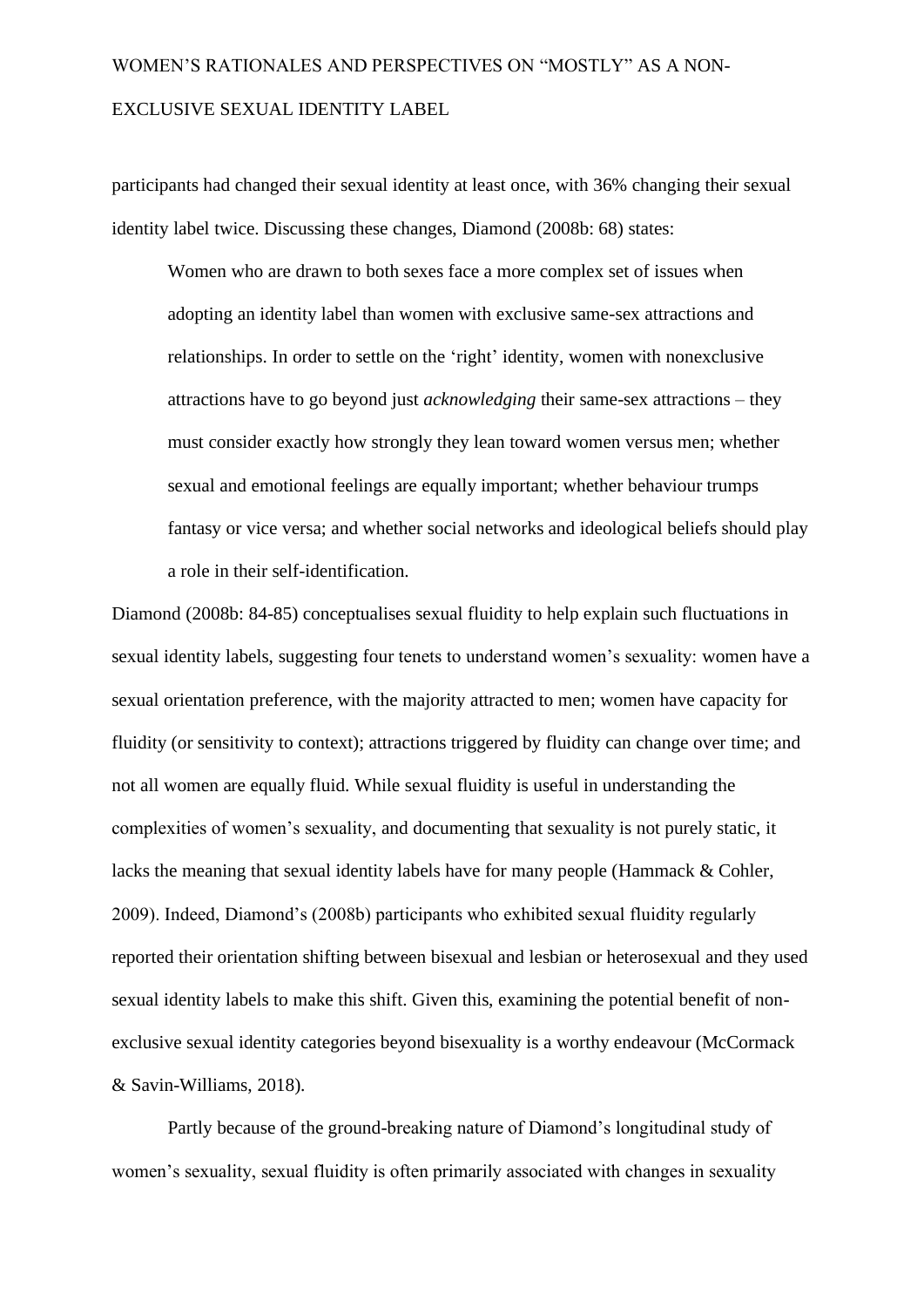participants had changed their sexual identity at least once, with 36% changing their sexual identity label twice. Discussing these changes, Diamond (2008b: 68) states:

Women who are drawn to both sexes face a more complex set of issues when adopting an identity label than women with exclusive same-sex attractions and relationships. In order to settle on the 'right' identity, women with nonexclusive attractions have to go beyond just *acknowledging* their same-sex attractions – they must consider exactly how strongly they lean toward women versus men; whether sexual and emotional feelings are equally important; whether behaviour trumps fantasy or vice versa; and whether social networks and ideological beliefs should play a role in their self-identification.

Diamond (2008b: 84-85) conceptualises sexual fluidity to help explain such fluctuations in sexual identity labels, suggesting four tenets to understand women's sexuality: women have a sexual orientation preference, with the majority attracted to men; women have capacity for fluidity (or sensitivity to context); attractions triggered by fluidity can change over time; and not all women are equally fluid. While sexual fluidity is useful in understanding the complexities of women's sexuality, and documenting that sexuality is not purely static, it lacks the meaning that sexual identity labels have for many people (Hammack & Cohler, 2009). Indeed, Diamond's (2008b) participants who exhibited sexual fluidity regularly reported their orientation shifting between bisexual and lesbian or heterosexual and they used sexual identity labels to make this shift. Given this, examining the potential benefit of nonexclusive sexual identity categories beyond bisexuality is a worthy endeavour (McCormack & Savin-Williams, 2018).

Partly because of the ground-breaking nature of Diamond's longitudinal study of women's sexuality, sexual fluidity is often primarily associated with changes in sexuality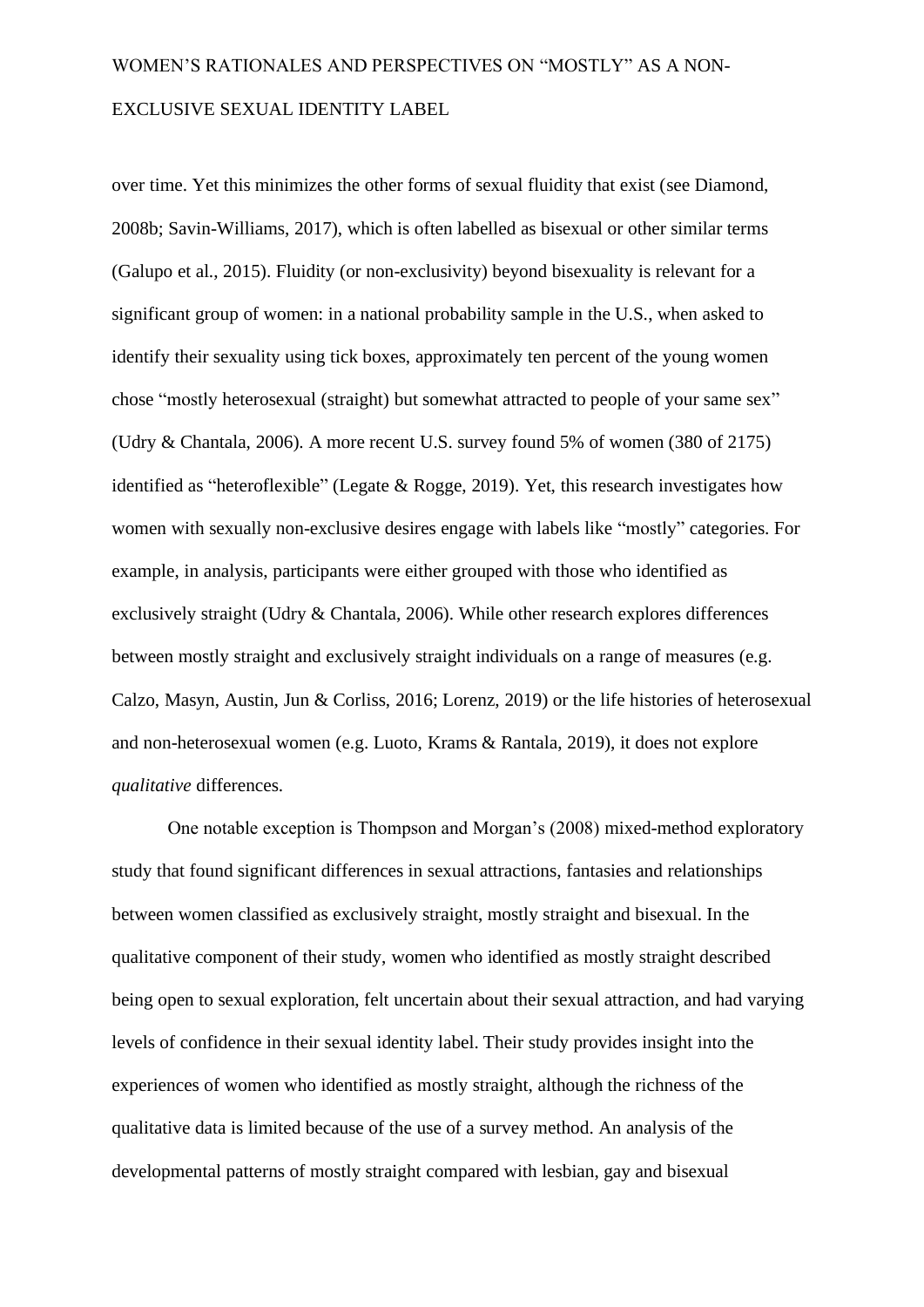over time. Yet this minimizes the other forms of sexual fluidity that exist (see Diamond, 2008b; Savin-Williams, 2017), which is often labelled as bisexual or other similar terms (Galupo et al., 2015). Fluidity (or non-exclusivity) beyond bisexuality is relevant for a significant group of women: in a national probability sample in the U.S., when asked to identify their sexuality using tick boxes, approximately ten percent of the young women chose "mostly heterosexual (straight) but somewhat attracted to people of your same sex" (Udry & Chantala, 2006). A more recent U.S. survey found 5% of women (380 of 2175) identified as "heteroflexible" (Legate & Rogge, 2019). Yet, this research investigates how women with sexually non-exclusive desires engage with labels like "mostly" categories. For example, in analysis, participants were either grouped with those who identified as exclusively straight (Udry & Chantala, 2006). While other research explores differences between mostly straight and exclusively straight individuals on a range of measures (e.g. Calzo, Masyn, Austin, Jun & Corliss, 2016; Lorenz, 2019) or the life histories of heterosexual and non-heterosexual women (e.g. Luoto, Krams & Rantala, 2019), it does not explore *qualitative* differences.

One notable exception is Thompson and Morgan's (2008) mixed-method exploratory study that found significant differences in sexual attractions, fantasies and relationships between women classified as exclusively straight, mostly straight and bisexual. In the qualitative component of their study, women who identified as mostly straight described being open to sexual exploration, felt uncertain about their sexual attraction, and had varying levels of confidence in their sexual identity label. Their study provides insight into the experiences of women who identified as mostly straight, although the richness of the qualitative data is limited because of the use of a survey method. An analysis of the developmental patterns of mostly straight compared with lesbian, gay and bisexual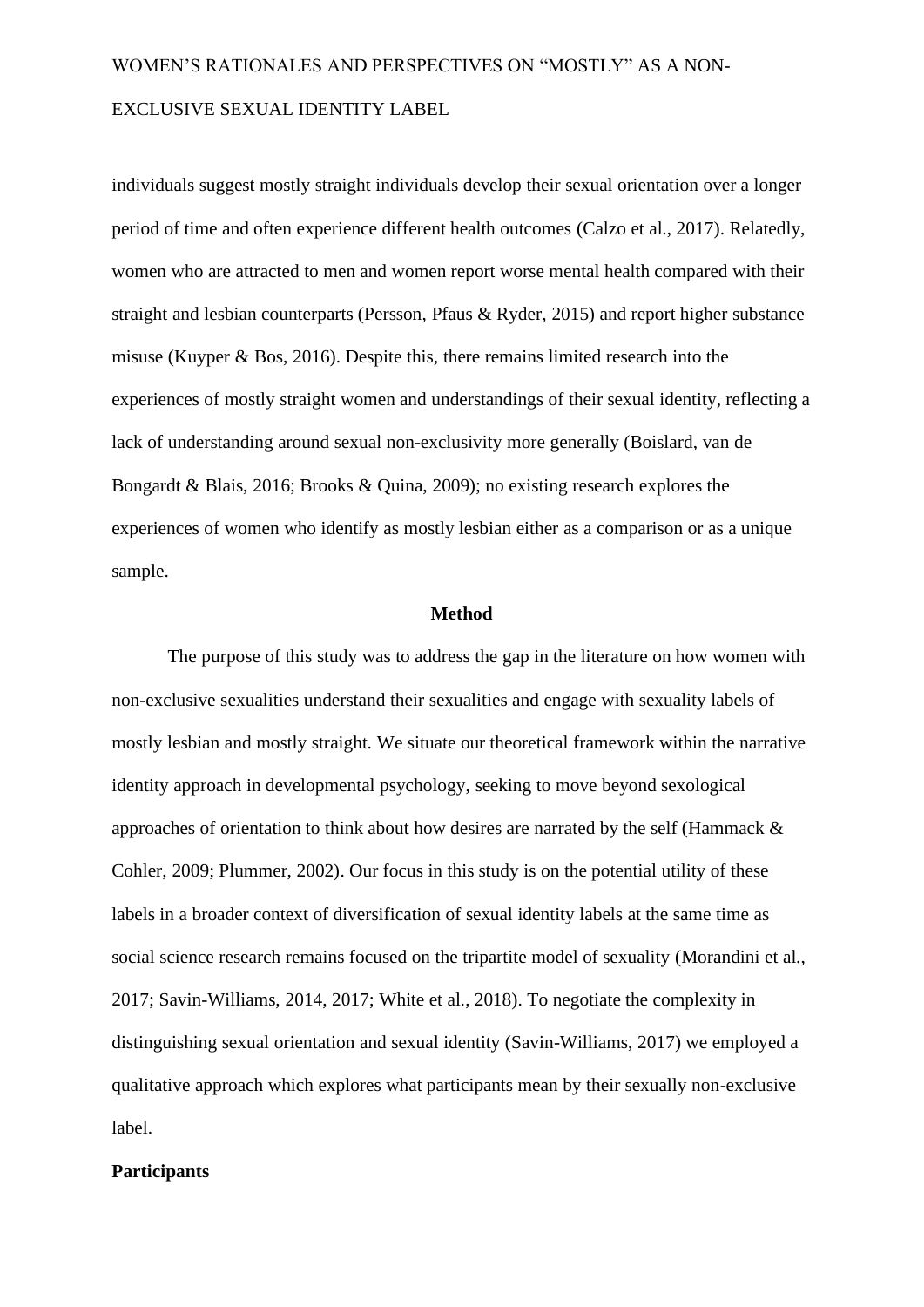individuals suggest mostly straight individuals develop their sexual orientation over a longer period of time and often experience different health outcomes (Calzo et al., 2017). Relatedly, women who are attracted to men and women report worse mental health compared with their straight and lesbian counterparts (Persson, Pfaus & Ryder, 2015) and report higher substance misuse (Kuyper & Bos, 2016). Despite this, there remains limited research into the experiences of mostly straight women and understandings of their sexual identity, reflecting a lack of understanding around sexual non-exclusivity more generally (Boislard, van de Bongardt & Blais, 2016; Brooks & Quina, 2009); no existing research explores the experiences of women who identify as mostly lesbian either as a comparison or as a unique sample.

#### **Method**

The purpose of this study was to address the gap in the literature on how women with non-exclusive sexualities understand their sexualities and engage with sexuality labels of mostly lesbian and mostly straight. We situate our theoretical framework within the narrative identity approach in developmental psychology, seeking to move beyond sexological approaches of orientation to think about how desires are narrated by the self (Hammack & Cohler, 2009; Plummer, 2002). Our focus in this study is on the potential utility of these labels in a broader context of diversification of sexual identity labels at the same time as social science research remains focused on the tripartite model of sexuality (Morandini et al., 2017; Savin-Williams, 2014, 2017; White et al., 2018). To negotiate the complexity in distinguishing sexual orientation and sexual identity (Savin-Williams, 2017) we employed a qualitative approach which explores what participants mean by their sexually non-exclusive label.

#### **Participants**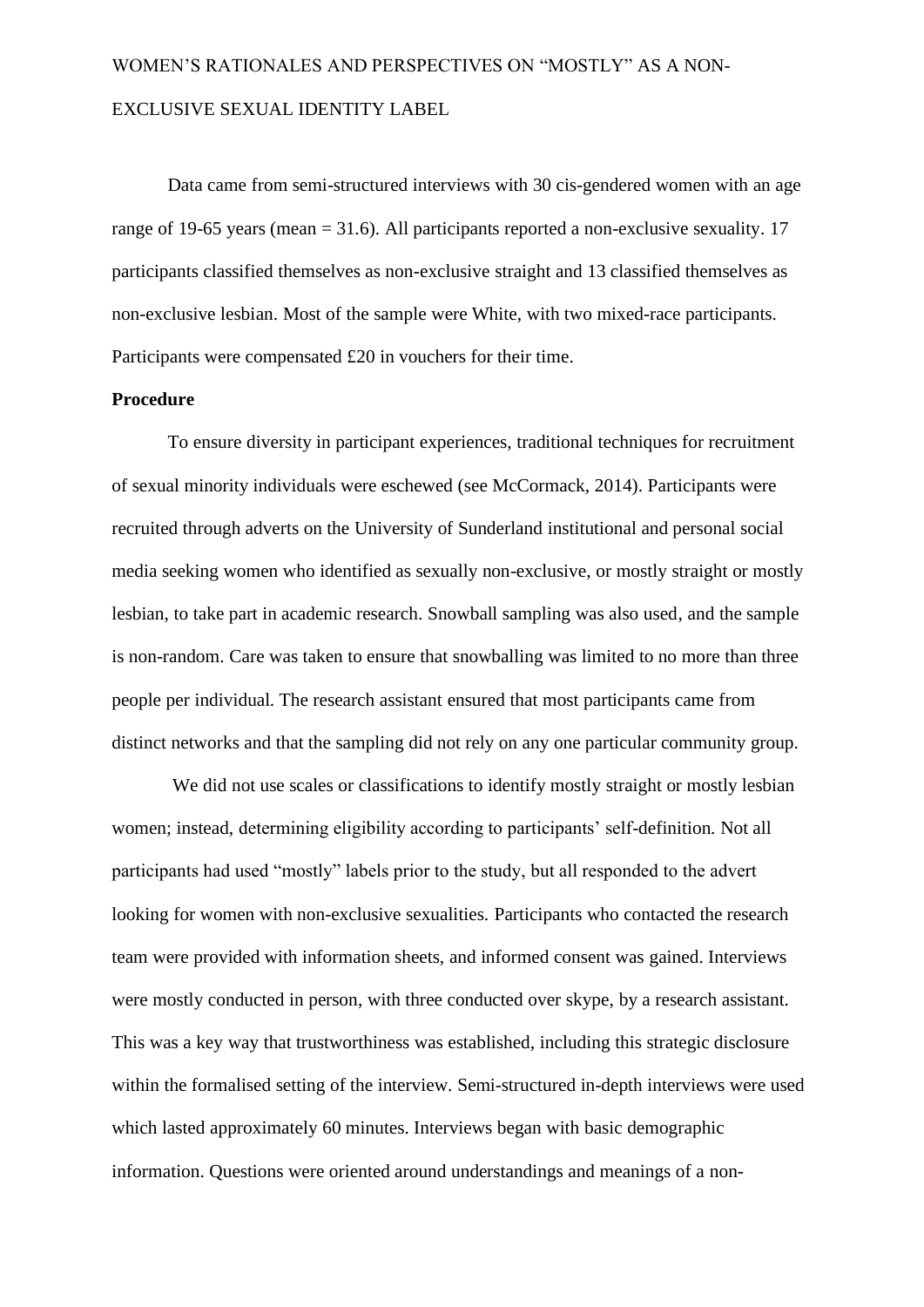Data came from semi-structured interviews with 30 cis-gendered women with an age range of 19-65 years (mean  $= 31.6$ ). All participants reported a non-exclusive sexuality. 17 participants classified themselves as non-exclusive straight and 13 classified themselves as non-exclusive lesbian. Most of the sample were White, with two mixed-race participants. Participants were compensated £20 in vouchers for their time.

### **Procedure**

To ensure diversity in participant experiences, traditional techniques for recruitment of sexual minority individuals were eschewed (see McCormack, 2014). Participants were recruited through adverts on the University of Sunderland institutional and personal social media seeking women who identified as sexually non-exclusive, or mostly straight or mostly lesbian, to take part in academic research. Snowball sampling was also used, and the sample is non-random. Care was taken to ensure that snowballing was limited to no more than three people per individual. The research assistant ensured that most participants came from distinct networks and that the sampling did not rely on any one particular community group.

We did not use scales or classifications to identify mostly straight or mostly lesbian women; instead, determining eligibility according to participants' self-definition. Not all participants had used "mostly" labels prior to the study, but all responded to the advert looking for women with non-exclusive sexualities. Participants who contacted the research team were provided with information sheets, and informed consent was gained. Interviews were mostly conducted in person, with three conducted over skype, by a research assistant. This was a key way that trustworthiness was established, including this strategic disclosure within the formalised setting of the interview. Semi-structured in-depth interviews were used which lasted approximately 60 minutes. Interviews began with basic demographic information. Questions were oriented around understandings and meanings of a non-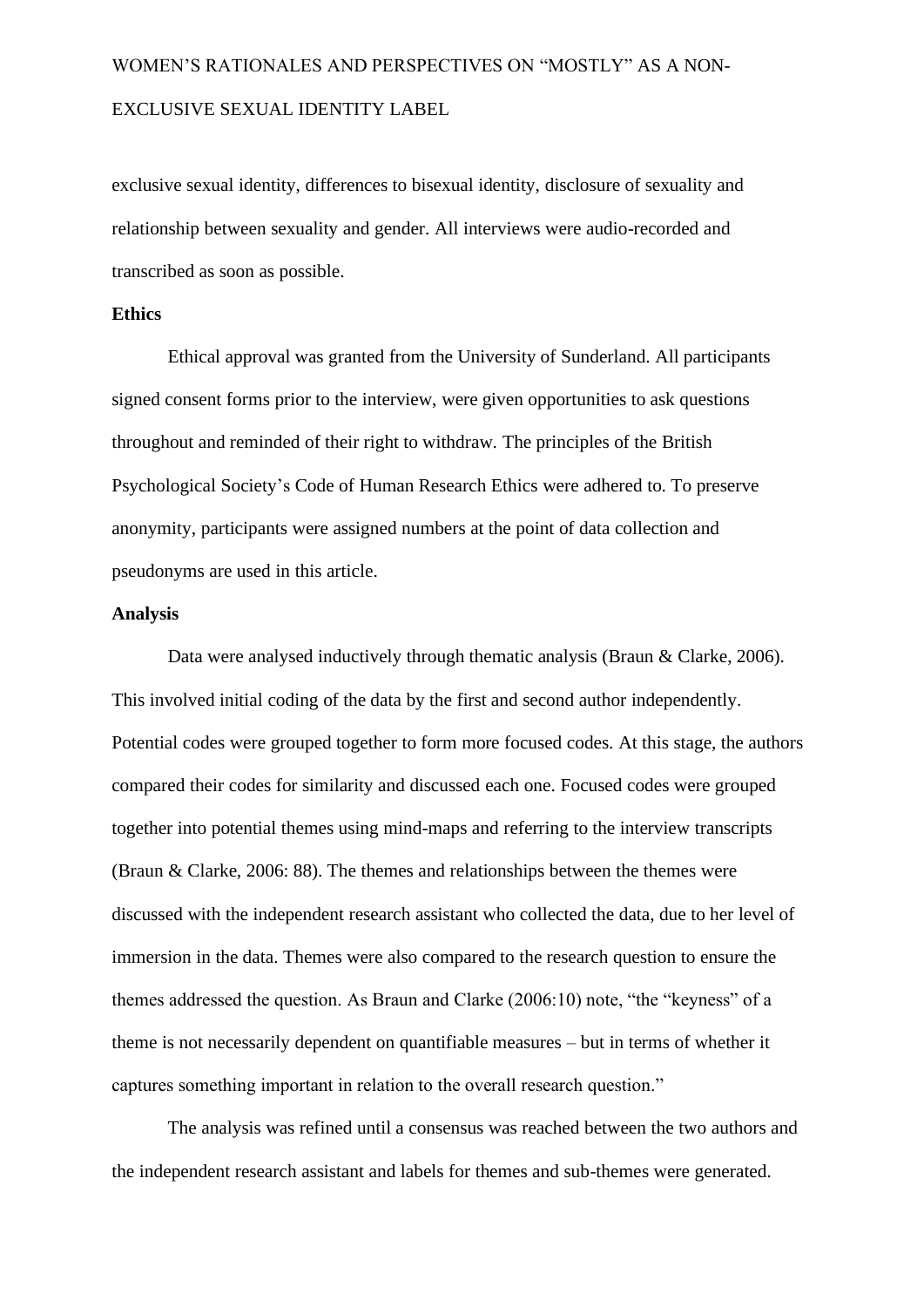exclusive sexual identity, differences to bisexual identity, disclosure of sexuality and relationship between sexuality and gender. All interviews were audio-recorded and transcribed as soon as possible.

#### **Ethics**

Ethical approval was granted from the University of Sunderland. All participants signed consent forms prior to the interview, were given opportunities to ask questions throughout and reminded of their right to withdraw. The principles of the British Psychological Society's Code of Human Research Ethics were adhered to. To preserve anonymity, participants were assigned numbers at the point of data collection and pseudonyms are used in this article.

#### **Analysis**

Data were analysed inductively through thematic analysis (Braun & Clarke, 2006). This involved initial coding of the data by the first and second author independently. Potential codes were grouped together to form more focused codes. At this stage, the authors compared their codes for similarity and discussed each one. Focused codes were grouped together into potential themes using mind-maps and referring to the interview transcripts (Braun & Clarke, 2006: 88). The themes and relationships between the themes were discussed with the independent research assistant who collected the data, due to her level of immersion in the data. Themes were also compared to the research question to ensure the themes addressed the question. As Braun and Clarke (2006:10) note, "the "keyness" of a theme is not necessarily dependent on quantifiable measures – but in terms of whether it captures something important in relation to the overall research question."

The analysis was refined until a consensus was reached between the two authors and the independent research assistant and labels for themes and sub-themes were generated.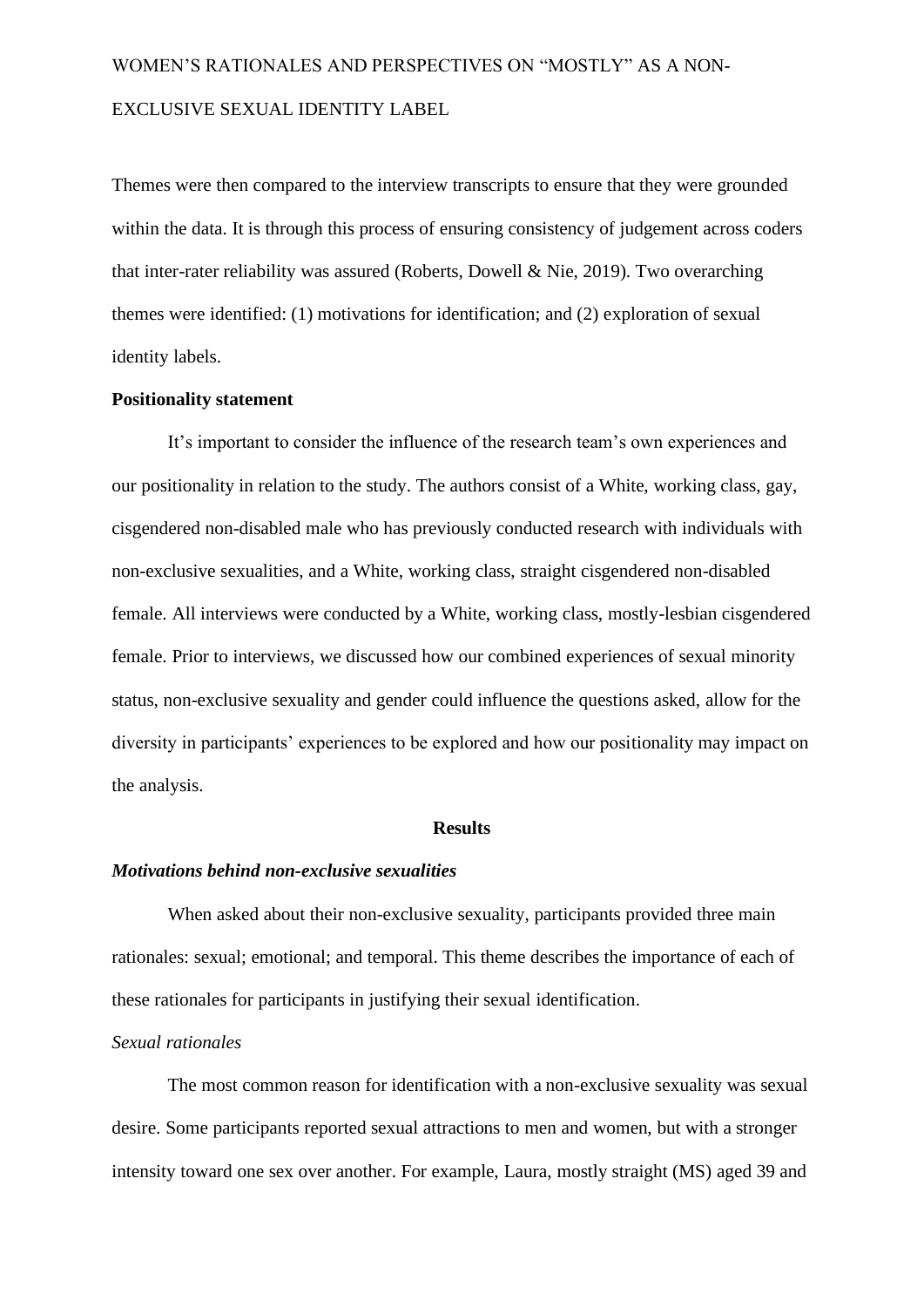Themes were then compared to the interview transcripts to ensure that they were grounded within the data. It is through this process of ensuring consistency of judgement across coders that inter-rater reliability was assured (Roberts, Dowell & Nie, 2019). Two overarching themes were identified: (1) motivations for identification; and (2) exploration of sexual identity labels.

#### **Positionality statement**

It's important to consider the influence of the research team's own experiences and our positionality in relation to the study. The authors consist of a White, working class, gay, cisgendered non-disabled male who has previously conducted research with individuals with non-exclusive sexualities, and a White, working class, straight cisgendered non-disabled female. All interviews were conducted by a White, working class, mostly-lesbian cisgendered female. Prior to interviews, we discussed how our combined experiences of sexual minority status, non-exclusive sexuality and gender could influence the questions asked, allow for the diversity in participants' experiences to be explored and how our positionality may impact on the analysis.

#### **Results**

#### *Motivations behind non-exclusive sexualities*

When asked about their non-exclusive sexuality, participants provided three main rationales: sexual; emotional; and temporal. This theme describes the importance of each of these rationales for participants in justifying their sexual identification.

#### *Sexual rationales*

The most common reason for identification with a non-exclusive sexuality was sexual desire. Some participants reported sexual attractions to men and women, but with a stronger intensity toward one sex over another. For example, Laura, mostly straight (MS) aged 39 and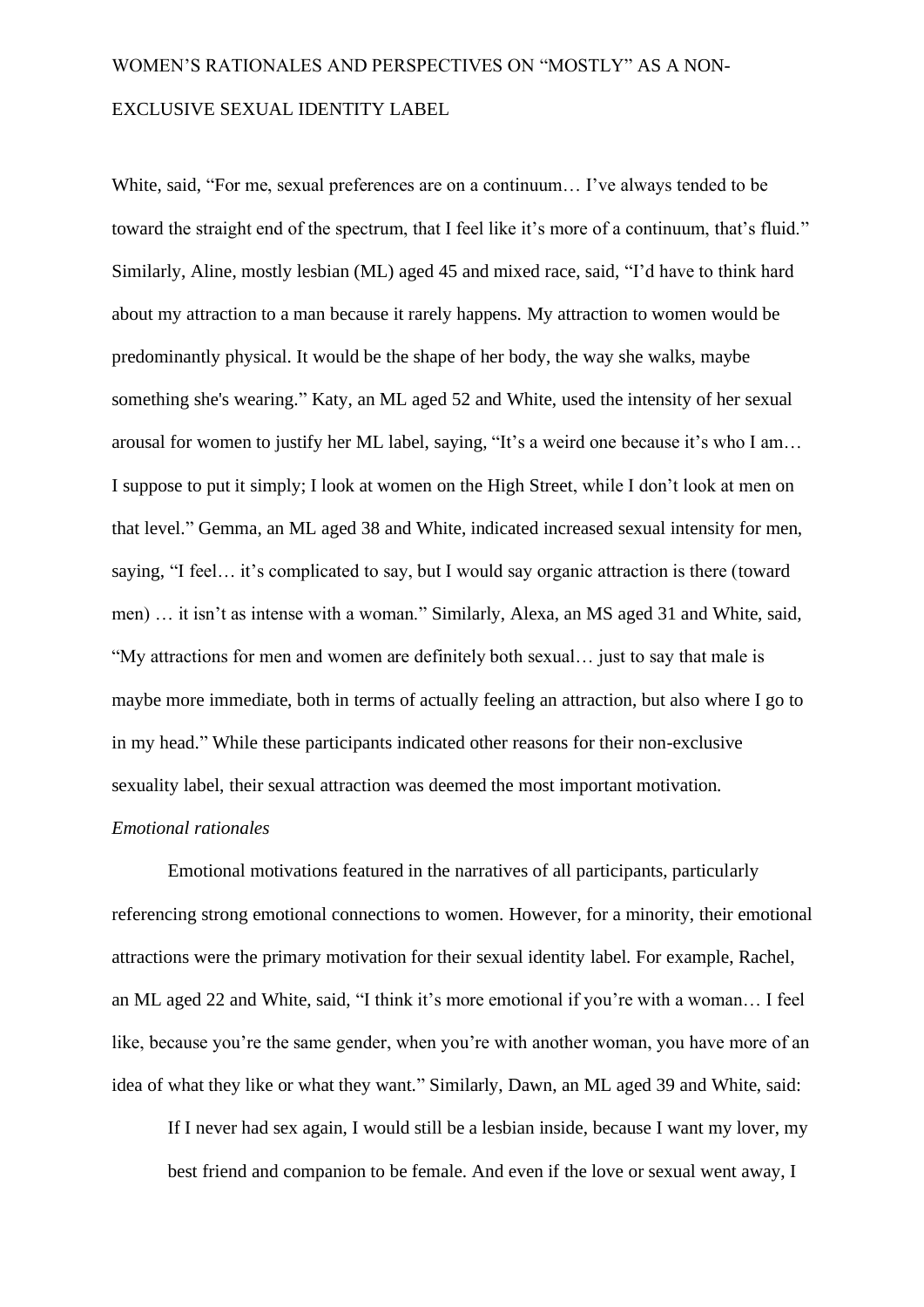White, said, "For me, sexual preferences are on a continuum… I've always tended to be toward the straight end of the spectrum, that I feel like it's more of a continuum, that's fluid." Similarly, Aline, mostly lesbian (ML) aged 45 and mixed race, said, "I'd have to think hard about my attraction to a man because it rarely happens. My attraction to women would be predominantly physical. It would be the shape of her body, the way she walks, maybe something she's wearing." Katy, an ML aged 52 and White, used the intensity of her sexual arousal for women to justify her ML label, saying, "It's a weird one because it's who I am… I suppose to put it simply; I look at women on the High Street, while I don't look at men on that level." Gemma, an ML aged 38 and White, indicated increased sexual intensity for men, saying, "I feel… it's complicated to say, but I would say organic attraction is there (toward men) … it isn't as intense with a woman." Similarly, Alexa, an MS aged 31 and White, said, "My attractions for men and women are definitely both sexual… just to say that male is maybe more immediate, both in terms of actually feeling an attraction, but also where I go to in my head." While these participants indicated other reasons for their non-exclusive sexuality label, their sexual attraction was deemed the most important motivation.

#### *Emotional rationales*

Emotional motivations featured in the narratives of all participants, particularly referencing strong emotional connections to women. However, for a minority, their emotional attractions were the primary motivation for their sexual identity label. For example, Rachel, an ML aged 22 and White, said, "I think it's more emotional if you're with a woman… I feel like, because you're the same gender, when you're with another woman, you have more of an idea of what they like or what they want." Similarly, Dawn, an ML aged 39 and White, said:

If I never had sex again, I would still be a lesbian inside, because I want my lover, my best friend and companion to be female. And even if the love or sexual went away, I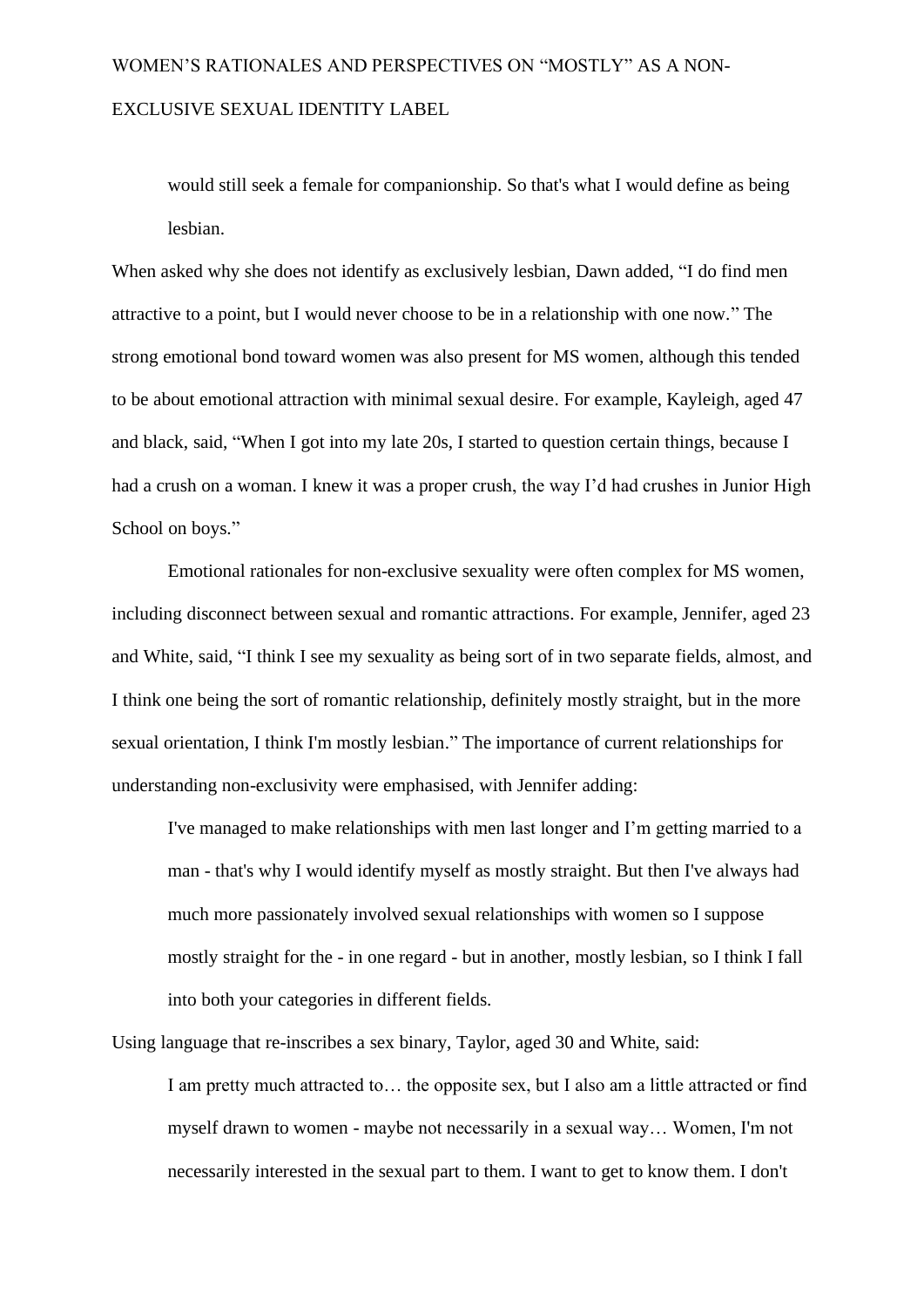would still seek a female for companionship. So that's what I would define as being lesbian.

When asked why she does not identify as exclusively lesbian, Dawn added, "I do find men attractive to a point, but I would never choose to be in a relationship with one now." The strong emotional bond toward women was also present for MS women, although this tended to be about emotional attraction with minimal sexual desire. For example, Kayleigh, aged 47 and black, said, "When I got into my late 20s, I started to question certain things, because I had a crush on a woman. I knew it was a proper crush, the way I'd had crushes in Junior High School on boys."

Emotional rationales for non-exclusive sexuality were often complex for MS women, including disconnect between sexual and romantic attractions. For example, Jennifer, aged 23 and White, said, "I think I see my sexuality as being sort of in two separate fields, almost, and I think one being the sort of romantic relationship, definitely mostly straight, but in the more sexual orientation, I think I'm mostly lesbian." The importance of current relationships for understanding non-exclusivity were emphasised, with Jennifer adding:

I've managed to make relationships with men last longer and I'm getting married to a man - that's why I would identify myself as mostly straight. But then I've always had much more passionately involved sexual relationships with women so I suppose mostly straight for the - in one regard - but in another, mostly lesbian, so I think I fall into both your categories in different fields.

Using language that re-inscribes a sex binary, Taylor, aged 30 and White, said:

I am pretty much attracted to… the opposite sex, but I also am a little attracted or find myself drawn to women - maybe not necessarily in a sexual way… Women, I'm not necessarily interested in the sexual part to them. I want to get to know them. I don't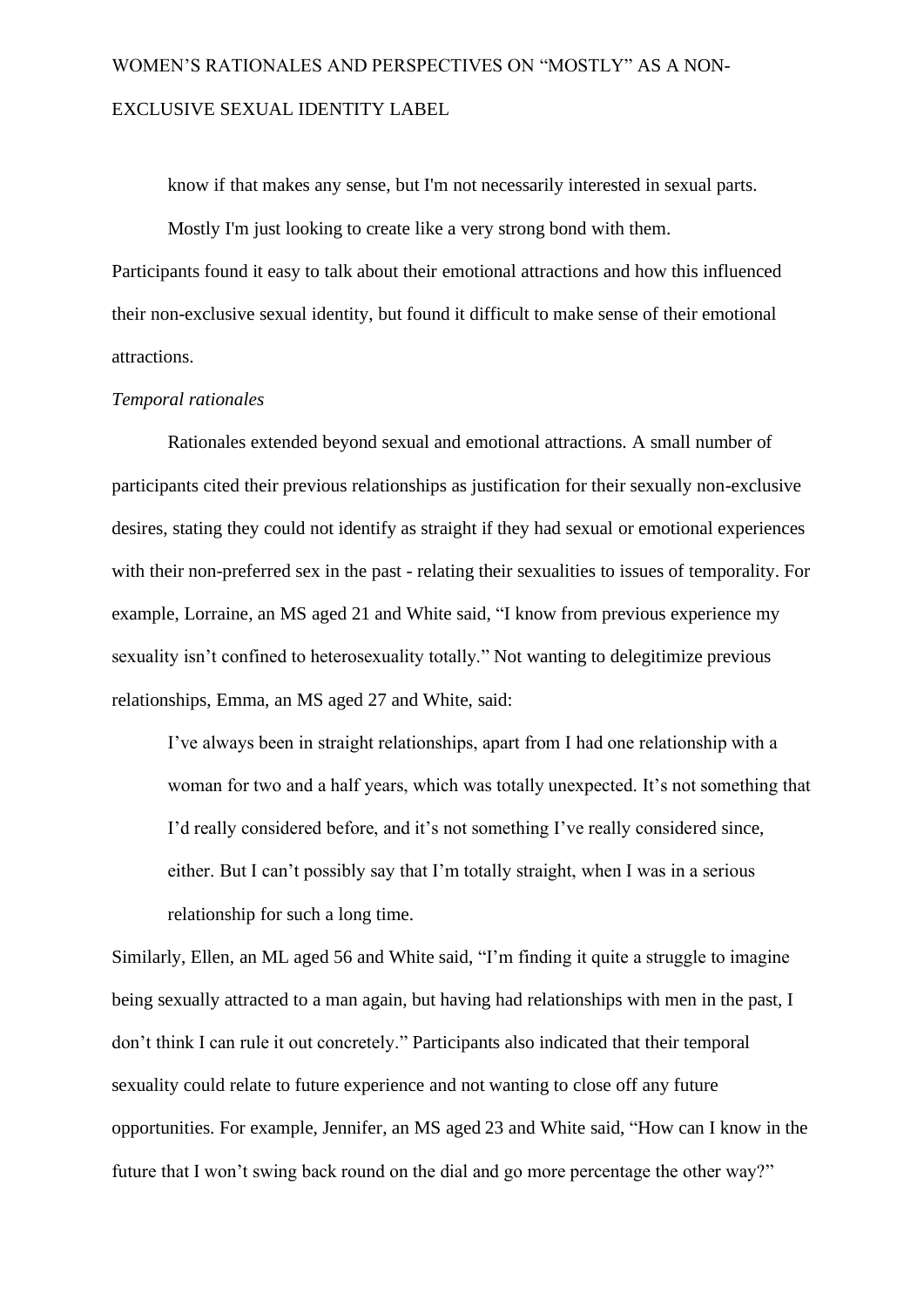know if that makes any sense, but I'm not necessarily interested in sexual parts.

Mostly I'm just looking to create like a very strong bond with them. Participants found it easy to talk about their emotional attractions and how this influenced their non-exclusive sexual identity, but found it difficult to make sense of their emotional attractions.

#### *Temporal rationales*

Rationales extended beyond sexual and emotional attractions. A small number of participants cited their previous relationships as justification for their sexually non-exclusive desires, stating they could not identify as straight if they had sexual or emotional experiences with their non-preferred sex in the past - relating their sexualities to issues of temporality. For example, Lorraine, an MS aged 21 and White said, "I know from previous experience my sexuality isn't confined to heterosexuality totally." Not wanting to delegitimize previous relationships, Emma, an MS aged 27 and White, said:

I've always been in straight relationships, apart from I had one relationship with a woman for two and a half years, which was totally unexpected. It's not something that I'd really considered before, and it's not something I've really considered since, either. But I can't possibly say that I'm totally straight, when I was in a serious relationship for such a long time.

Similarly, Ellen, an ML aged 56 and White said, "I'm finding it quite a struggle to imagine being sexually attracted to a man again, but having had relationships with men in the past, I don't think I can rule it out concretely." Participants also indicated that their temporal sexuality could relate to future experience and not wanting to close off any future opportunities. For example, Jennifer, an MS aged 23 and White said, "How can I know in the future that I won't swing back round on the dial and go more percentage the other way?"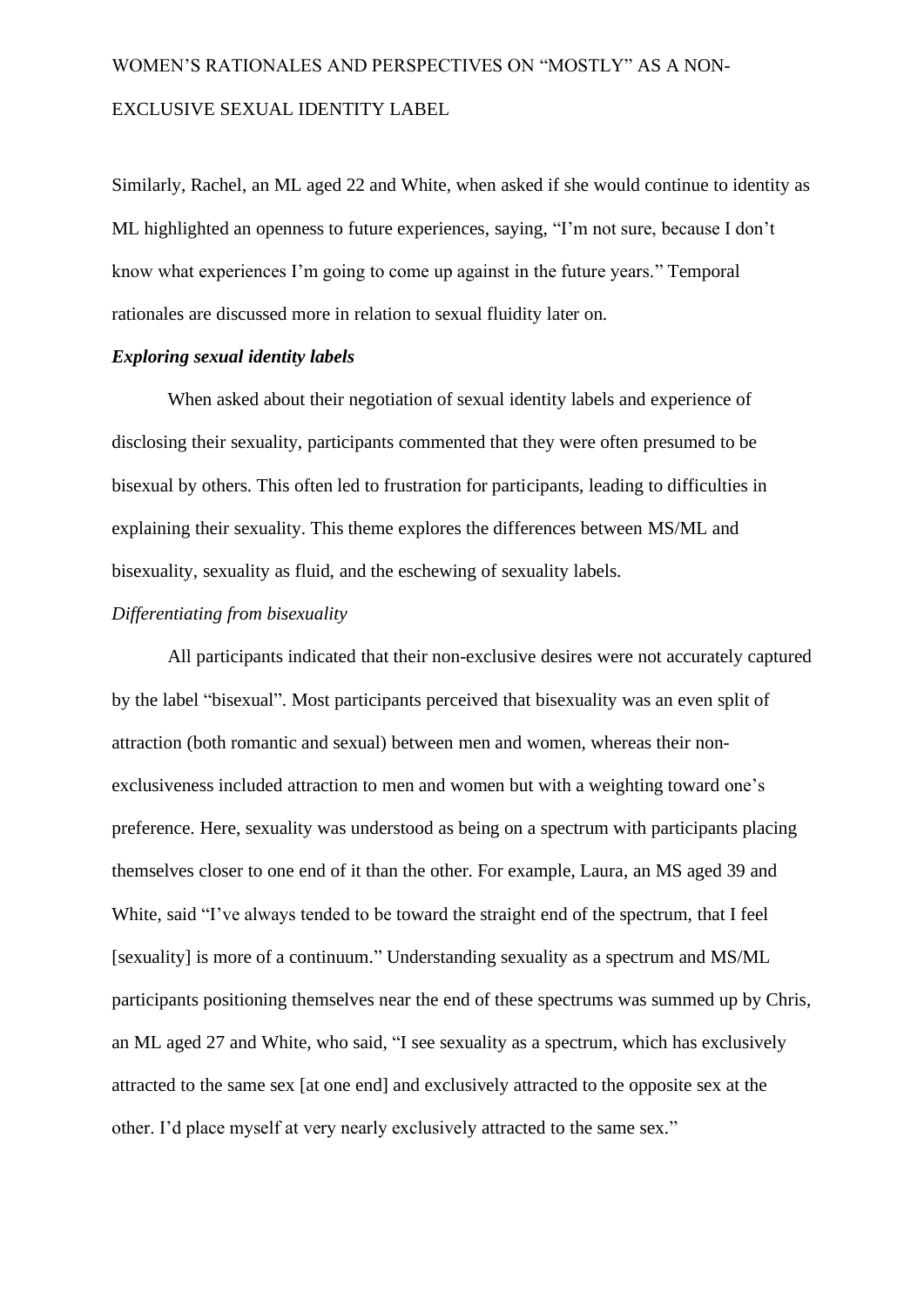Similarly, Rachel, an ML aged 22 and White, when asked if she would continue to identity as ML highlighted an openness to future experiences, saying, "I'm not sure, because I don't know what experiences I'm going to come up against in the future years." Temporal rationales are discussed more in relation to sexual fluidity later on.

#### *Exploring sexual identity labels*

When asked about their negotiation of sexual identity labels and experience of disclosing their sexuality, participants commented that they were often presumed to be bisexual by others. This often led to frustration for participants, leading to difficulties in explaining their sexuality. This theme explores the differences between MS/ML and bisexuality, sexuality as fluid, and the eschewing of sexuality labels.

#### *Differentiating from bisexuality*

All participants indicated that their non-exclusive desires were not accurately captured by the label "bisexual". Most participants perceived that bisexuality was an even split of attraction (both romantic and sexual) between men and women, whereas their nonexclusiveness included attraction to men and women but with a weighting toward one's preference. Here, sexuality was understood as being on a spectrum with participants placing themselves closer to one end of it than the other. For example, Laura, an MS aged 39 and White, said "I've always tended to be toward the straight end of the spectrum, that I feel [sexuality] is more of a continuum." Understanding sexuality as a spectrum and MS/ML participants positioning themselves near the end of these spectrums was summed up by Chris, an ML aged 27 and White, who said, "I see sexuality as a spectrum, which has exclusively attracted to the same sex [at one end] and exclusively attracted to the opposite sex at the other. I'd place myself at very nearly exclusively attracted to the same sex."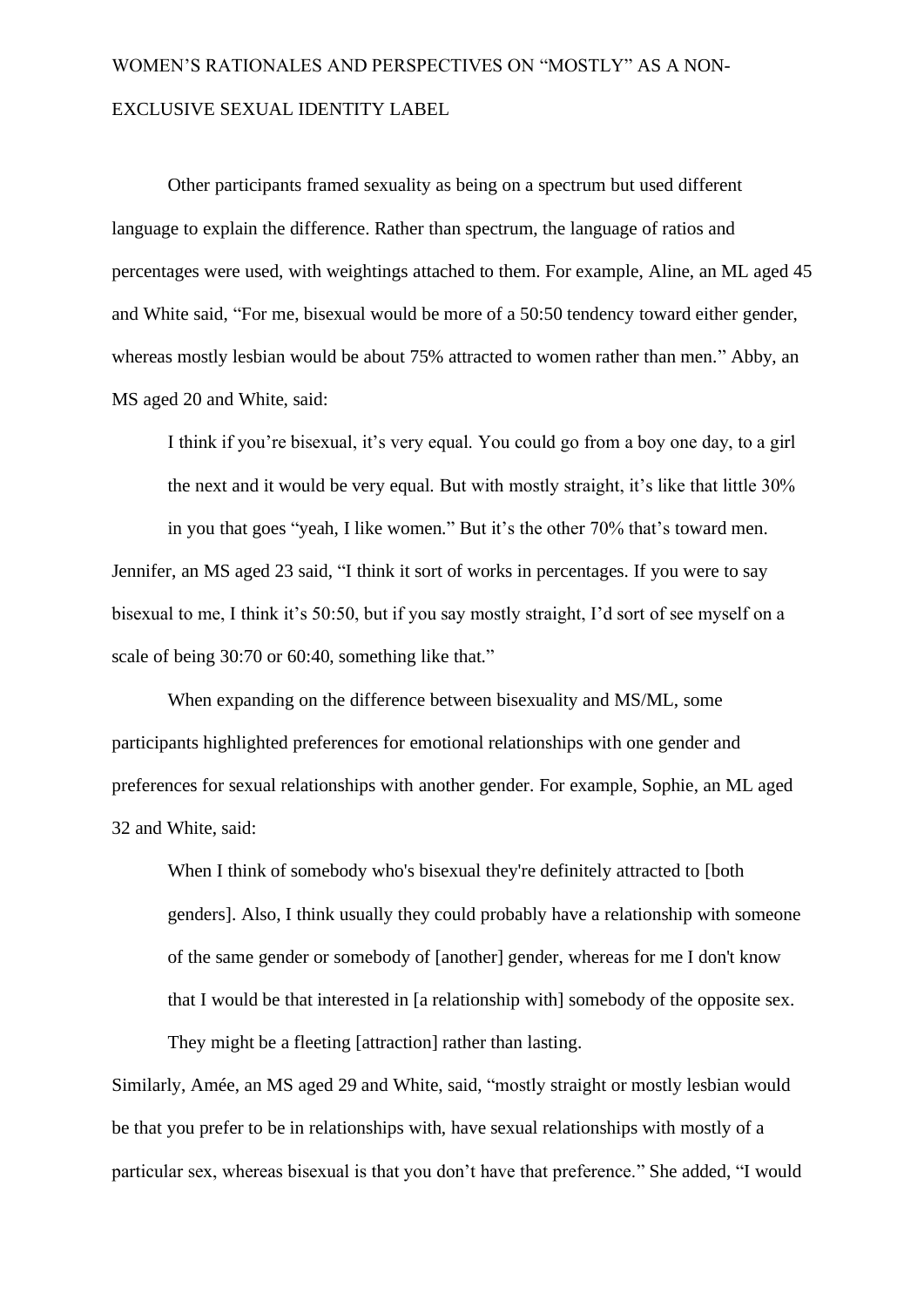Other participants framed sexuality as being on a spectrum but used different language to explain the difference. Rather than spectrum, the language of ratios and percentages were used, with weightings attached to them. For example, Aline, an ML aged 45 and White said, "For me, bisexual would be more of a 50:50 tendency toward either gender, whereas mostly lesbian would be about 75% attracted to women rather than men." Abby, an MS aged 20 and White, said:

I think if you're bisexual, it's very equal. You could go from a boy one day, to a girl the next and it would be very equal. But with mostly straight, it's like that little 30% in you that goes "yeah, I like women." But it's the other 70% that's toward men. Jennifer, an MS aged 23 said, "I think it sort of works in percentages. If you were to say bisexual to me, I think it's 50:50, but if you say mostly straight, I'd sort of see myself on a scale of being 30:70 or 60:40, something like that."

When expanding on the difference between bisexuality and MS/ML, some participants highlighted preferences for emotional relationships with one gender and preferences for sexual relationships with another gender. For example, Sophie, an ML aged 32 and White, said:

When I think of somebody who's bisexual they're definitely attracted to [both genders]. Also, I think usually they could probably have a relationship with someone of the same gender or somebody of [another] gender, whereas for me I don't know that I would be that interested in [a relationship with] somebody of the opposite sex.

Similarly, Amée, an MS aged 29 and White, said, "mostly straight or mostly lesbian would be that you prefer to be in relationships with, have sexual relationships with mostly of a particular sex, whereas bisexual is that you don't have that preference." She added, "I would

They might be a fleeting [attraction] rather than lasting.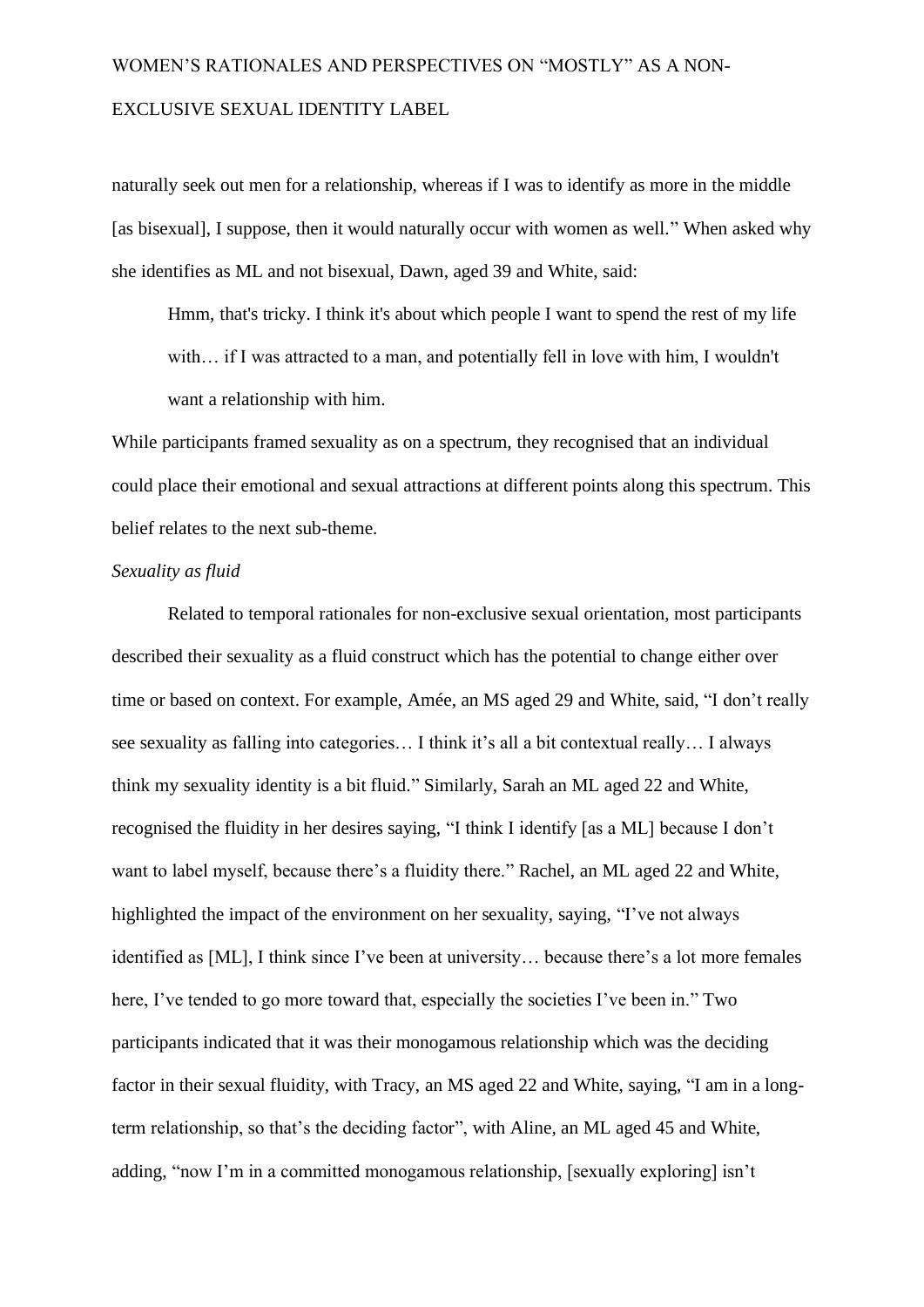naturally seek out men for a relationship, whereas if I was to identify as more in the middle [as bisexual], I suppose, then it would naturally occur with women as well." When asked why she identifies as ML and not bisexual, Dawn, aged 39 and White, said:

Hmm, that's tricky. I think it's about which people I want to spend the rest of my life with... if I was attracted to a man, and potentially fell in love with him, I wouldn't want a relationship with him.

While participants framed sexuality as on a spectrum, they recognised that an individual could place their emotional and sexual attractions at different points along this spectrum. This belief relates to the next sub-theme.

#### *Sexuality as fluid*

Related to temporal rationales for non-exclusive sexual orientation, most participants described their sexuality as a fluid construct which has the potential to change either over time or based on context. For example, Amée, an MS aged 29 and White, said, "I don't really see sexuality as falling into categories… I think it's all a bit contextual really… I always think my sexuality identity is a bit fluid." Similarly, Sarah an ML aged 22 and White, recognised the fluidity in her desires saying, "I think I identify [as a ML] because I don't want to label myself, because there's a fluidity there." Rachel, an ML aged 22 and White, highlighted the impact of the environment on her sexuality, saying, "I've not always identified as [ML], I think since I've been at university… because there's a lot more females here, I've tended to go more toward that, especially the societies I've been in." Two participants indicated that it was their monogamous relationship which was the deciding factor in their sexual fluidity, with Tracy, an MS aged 22 and White, saying, "I am in a longterm relationship, so that's the deciding factor", with Aline, an ML aged 45 and White, adding, "now I'm in a committed monogamous relationship, [sexually exploring] isn't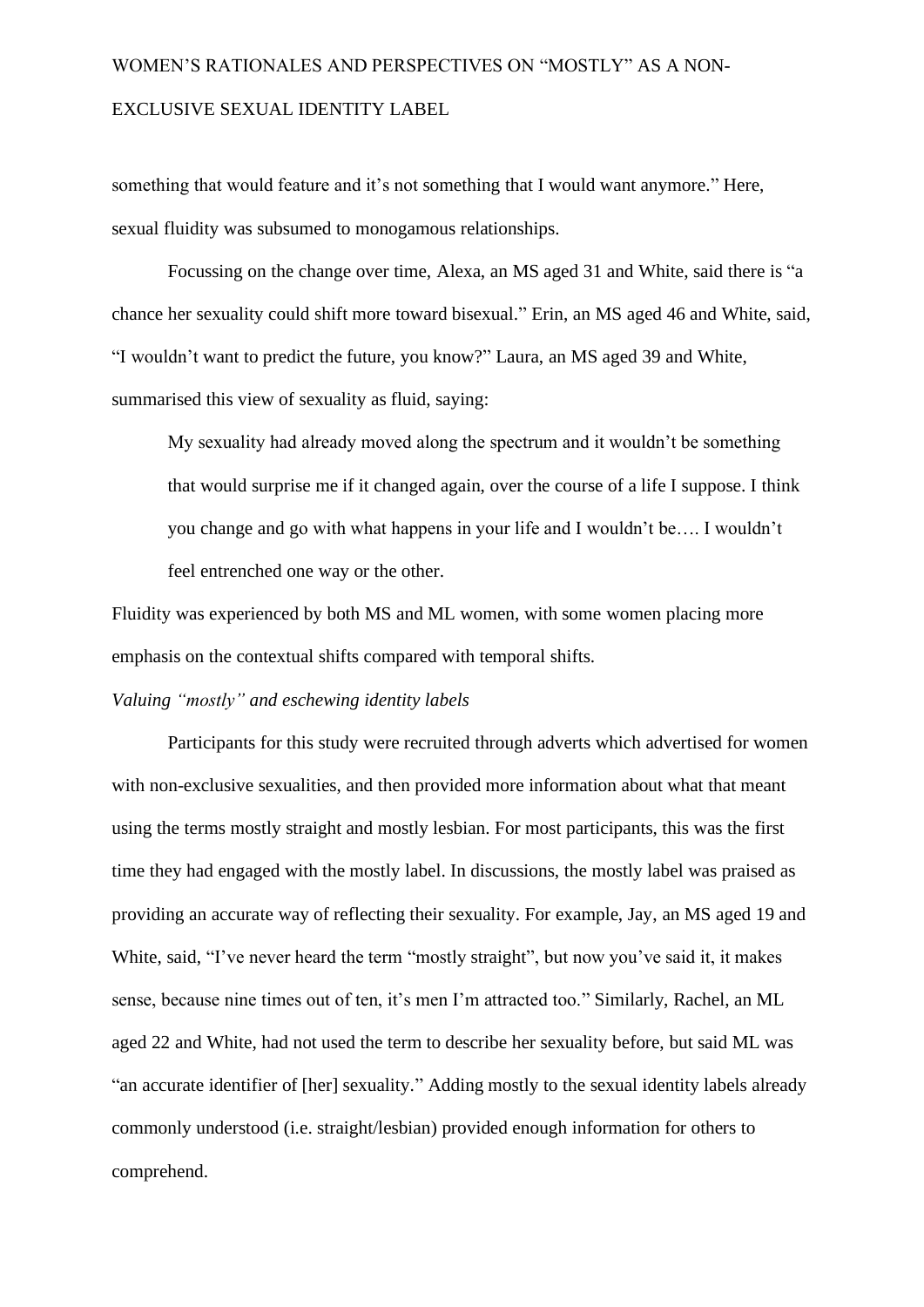something that would feature and it's not something that I would want anymore." Here, sexual fluidity was subsumed to monogamous relationships.

Focussing on the change over time, Alexa, an MS aged 31 and White, said there is "a chance her sexuality could shift more toward bisexual." Erin, an MS aged 46 and White, said, "I wouldn't want to predict the future, you know?" Laura, an MS aged 39 and White, summarised this view of sexuality as fluid, saying:

My sexuality had already moved along the spectrum and it wouldn't be something that would surprise me if it changed again, over the course of a life I suppose. I think you change and go with what happens in your life and I wouldn't be…. I wouldn't feel entrenched one way or the other.

Fluidity was experienced by both MS and ML women, with some women placing more emphasis on the contextual shifts compared with temporal shifts.

#### *Valuing "mostly" and eschewing identity labels*

Participants for this study were recruited through adverts which advertised for women with non-exclusive sexualities, and then provided more information about what that meant using the terms mostly straight and mostly lesbian. For most participants, this was the first time they had engaged with the mostly label. In discussions, the mostly label was praised as providing an accurate way of reflecting their sexuality. For example, Jay, an MS aged 19 and White, said, "I've never heard the term "mostly straight", but now you've said it, it makes sense, because nine times out of ten, it's men I'm attracted too." Similarly, Rachel, an ML aged 22 and White, had not used the term to describe her sexuality before, but said ML was "an accurate identifier of [her] sexuality." Adding mostly to the sexual identity labels already commonly understood (i.e. straight/lesbian) provided enough information for others to comprehend.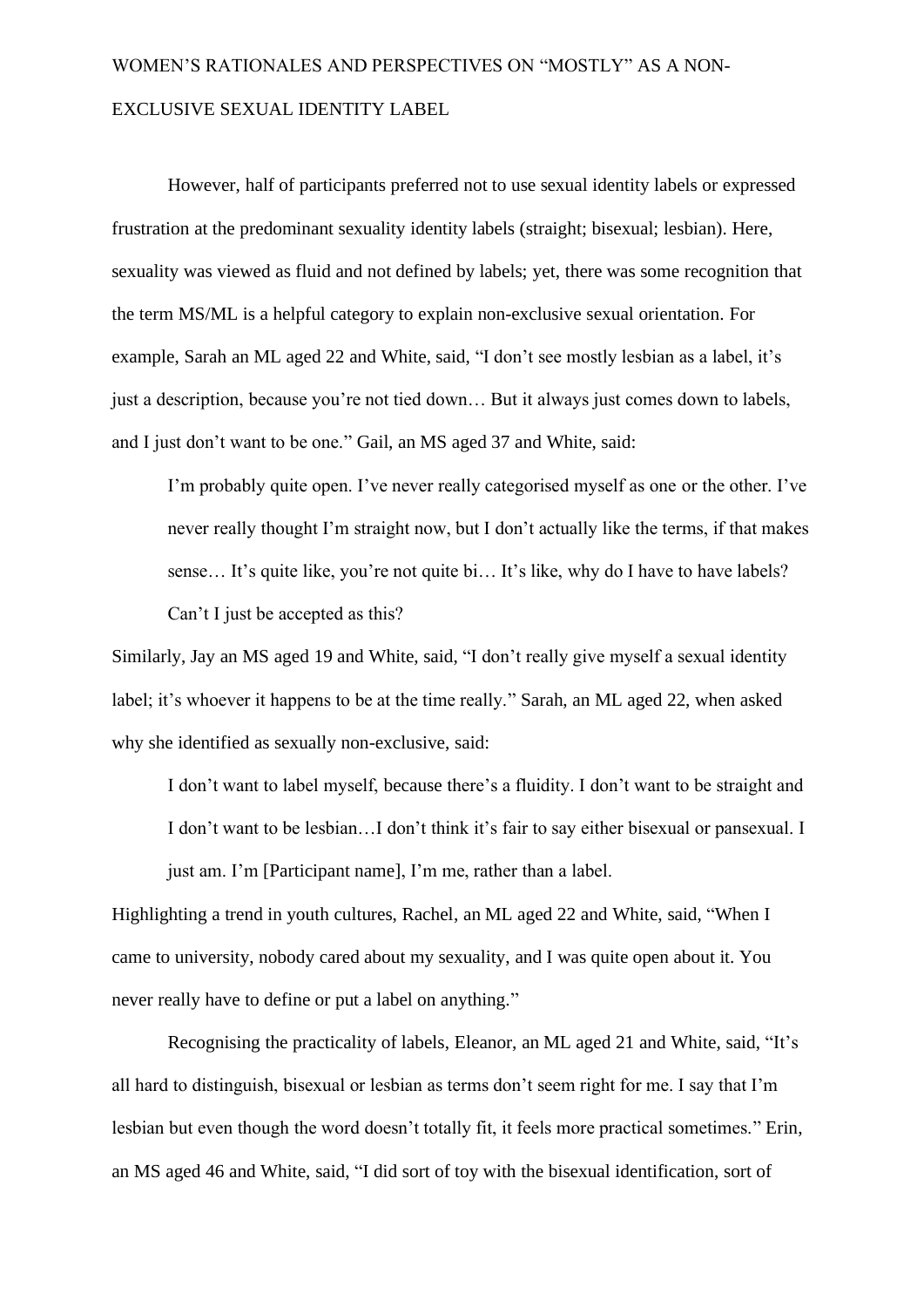However, half of participants preferred not to use sexual identity labels or expressed frustration at the predominant sexuality identity labels (straight; bisexual; lesbian). Here, sexuality was viewed as fluid and not defined by labels; yet, there was some recognition that the term MS/ML is a helpful category to explain non-exclusive sexual orientation. For example, Sarah an ML aged 22 and White, said, "I don't see mostly lesbian as a label, it's just a description, because you're not tied down… But it always just comes down to labels, and I just don't want to be one." Gail, an MS aged 37 and White, said:

I'm probably quite open. I've never really categorised myself as one or the other. I've never really thought I'm straight now, but I don't actually like the terms, if that makes sense… It's quite like, you're not quite bi… It's like, why do I have to have labels? Can't I just be accepted as this?

Similarly, Jay an MS aged 19 and White, said, "I don't really give myself a sexual identity label; it's whoever it happens to be at the time really." Sarah, an ML aged 22, when asked why she identified as sexually non-exclusive, said:

I don't want to label myself, because there's a fluidity. I don't want to be straight and I don't want to be lesbian…I don't think it's fair to say either bisexual or pansexual. I just am. I'm [Participant name], I'm me, rather than a label.

Highlighting a trend in youth cultures, Rachel, an ML aged 22 and White, said, "When I came to university, nobody cared about my sexuality, and I was quite open about it. You never really have to define or put a label on anything."

Recognising the practicality of labels, Eleanor, an ML aged 21 and White, said, "It's all hard to distinguish, bisexual or lesbian as terms don't seem right for me. I say that I'm lesbian but even though the word doesn't totally fit, it feels more practical sometimes." Erin, an MS aged 46 and White, said, "I did sort of toy with the bisexual identification, sort of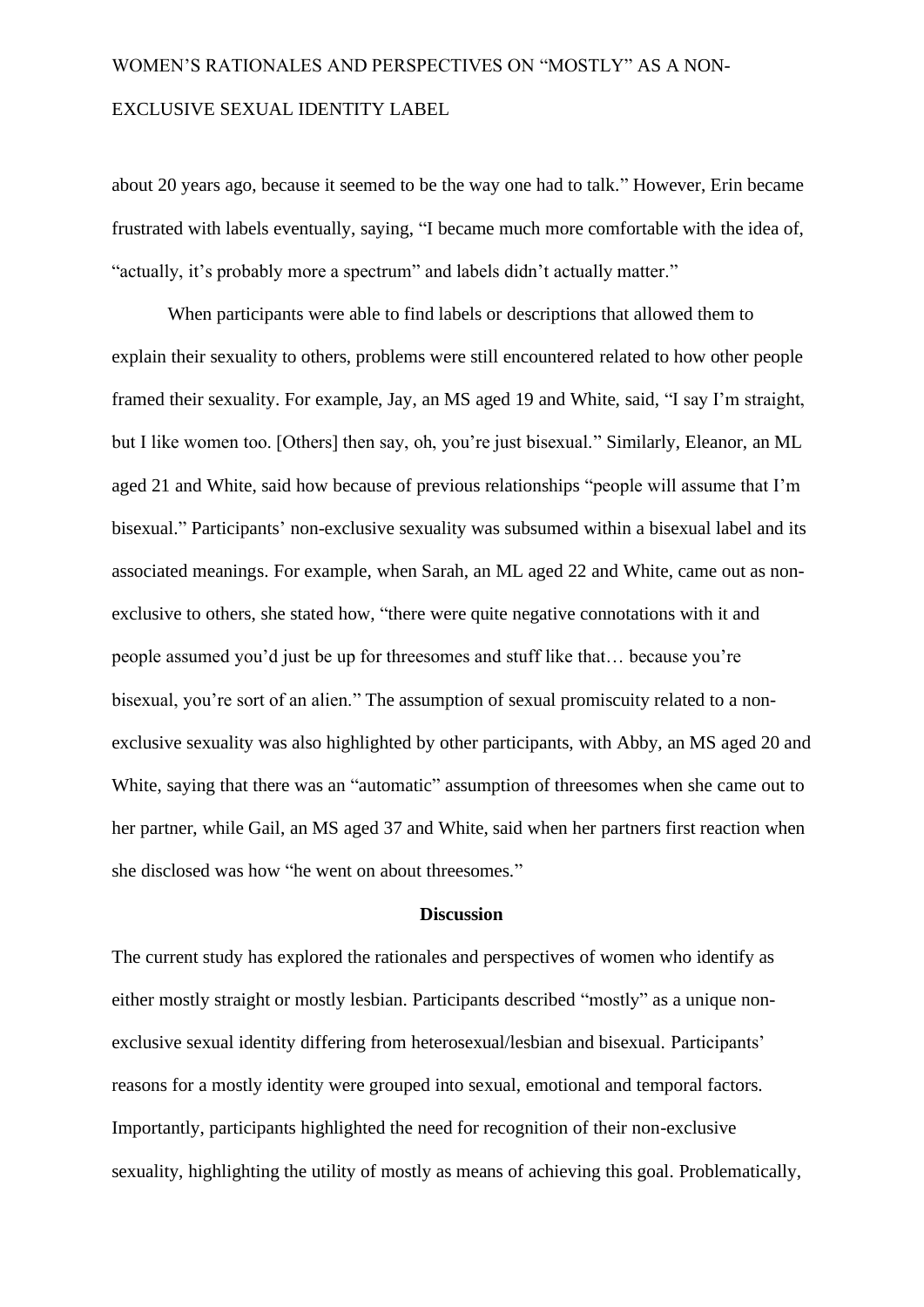about 20 years ago, because it seemed to be the way one had to talk." However, Erin became frustrated with labels eventually, saying, "I became much more comfortable with the idea of, "actually, it's probably more a spectrum" and labels didn't actually matter."

When participants were able to find labels or descriptions that allowed them to explain their sexuality to others, problems were still encountered related to how other people framed their sexuality. For example, Jay, an MS aged 19 and White, said, "I say I'm straight, but I like women too. [Others] then say, oh, you're just bisexual." Similarly, Eleanor, an ML aged 21 and White, said how because of previous relationships "people will assume that I'm bisexual." Participants' non-exclusive sexuality was subsumed within a bisexual label and its associated meanings. For example, when Sarah, an ML aged 22 and White, came out as nonexclusive to others, she stated how, "there were quite negative connotations with it and people assumed you'd just be up for threesomes and stuff like that… because you're bisexual, you're sort of an alien." The assumption of sexual promiscuity related to a nonexclusive sexuality was also highlighted by other participants, with Abby, an MS aged 20 and White, saying that there was an "automatic" assumption of threesomes when she came out to her partner, while Gail, an MS aged 37 and White, said when her partners first reaction when she disclosed was how "he went on about threesomes."

#### **Discussion**

The current study has explored the rationales and perspectives of women who identify as either mostly straight or mostly lesbian. Participants described "mostly" as a unique nonexclusive sexual identity differing from heterosexual/lesbian and bisexual. Participants' reasons for a mostly identity were grouped into sexual, emotional and temporal factors. Importantly, participants highlighted the need for recognition of their non-exclusive sexuality, highlighting the utility of mostly as means of achieving this goal. Problematically,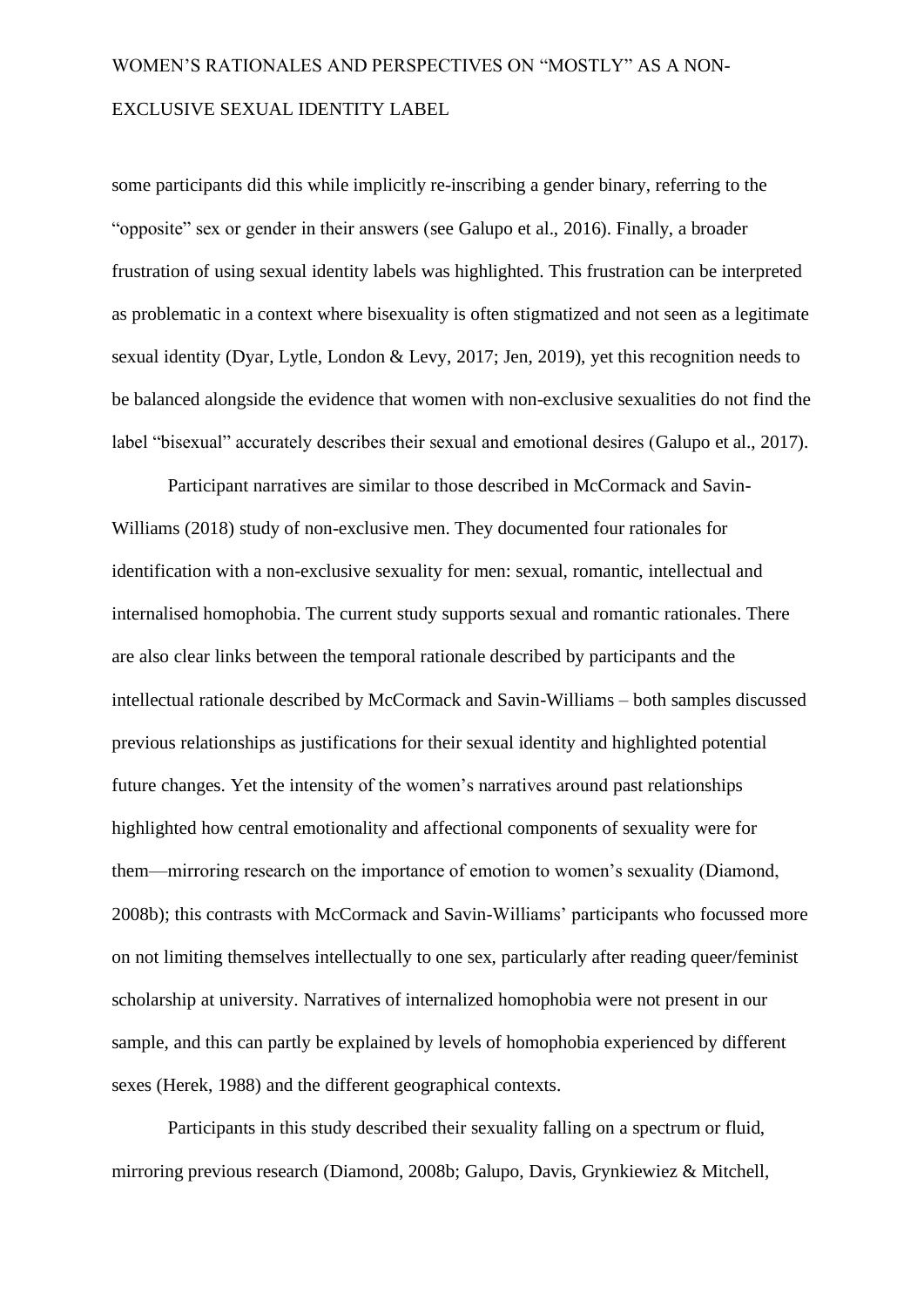some participants did this while implicitly re-inscribing a gender binary, referring to the "opposite" sex or gender in their answers (see Galupo et al., 2016). Finally, a broader frustration of using sexual identity labels was highlighted. This frustration can be interpreted as problematic in a context where bisexuality is often stigmatized and not seen as a legitimate sexual identity (Dyar, Lytle, London & Levy, 2017; Jen, 2019), yet this recognition needs to be balanced alongside the evidence that women with non-exclusive sexualities do not find the label "bisexual" accurately describes their sexual and emotional desires (Galupo et al., 2017).

Participant narratives are similar to those described in McCormack and Savin-Williams (2018) study of non-exclusive men. They documented four rationales for identification with a non-exclusive sexuality for men: sexual, romantic, intellectual and internalised homophobia. The current study supports sexual and romantic rationales. There are also clear links between the temporal rationale described by participants and the intellectual rationale described by McCormack and Savin-Williams – both samples discussed previous relationships as justifications for their sexual identity and highlighted potential future changes. Yet the intensity of the women's narratives around past relationships highlighted how central emotionality and affectional components of sexuality were for them—mirroring research on the importance of emotion to women's sexuality (Diamond, 2008b); this contrasts with McCormack and Savin-Williams' participants who focussed more on not limiting themselves intellectually to one sex, particularly after reading queer/feminist scholarship at university. Narratives of internalized homophobia were not present in our sample, and this can partly be explained by levels of homophobia experienced by different sexes (Herek, 1988) and the different geographical contexts.

Participants in this study described their sexuality falling on a spectrum or fluid, mirroring previous research (Diamond, 2008b; Galupo, Davis, Grynkiewiez & Mitchell,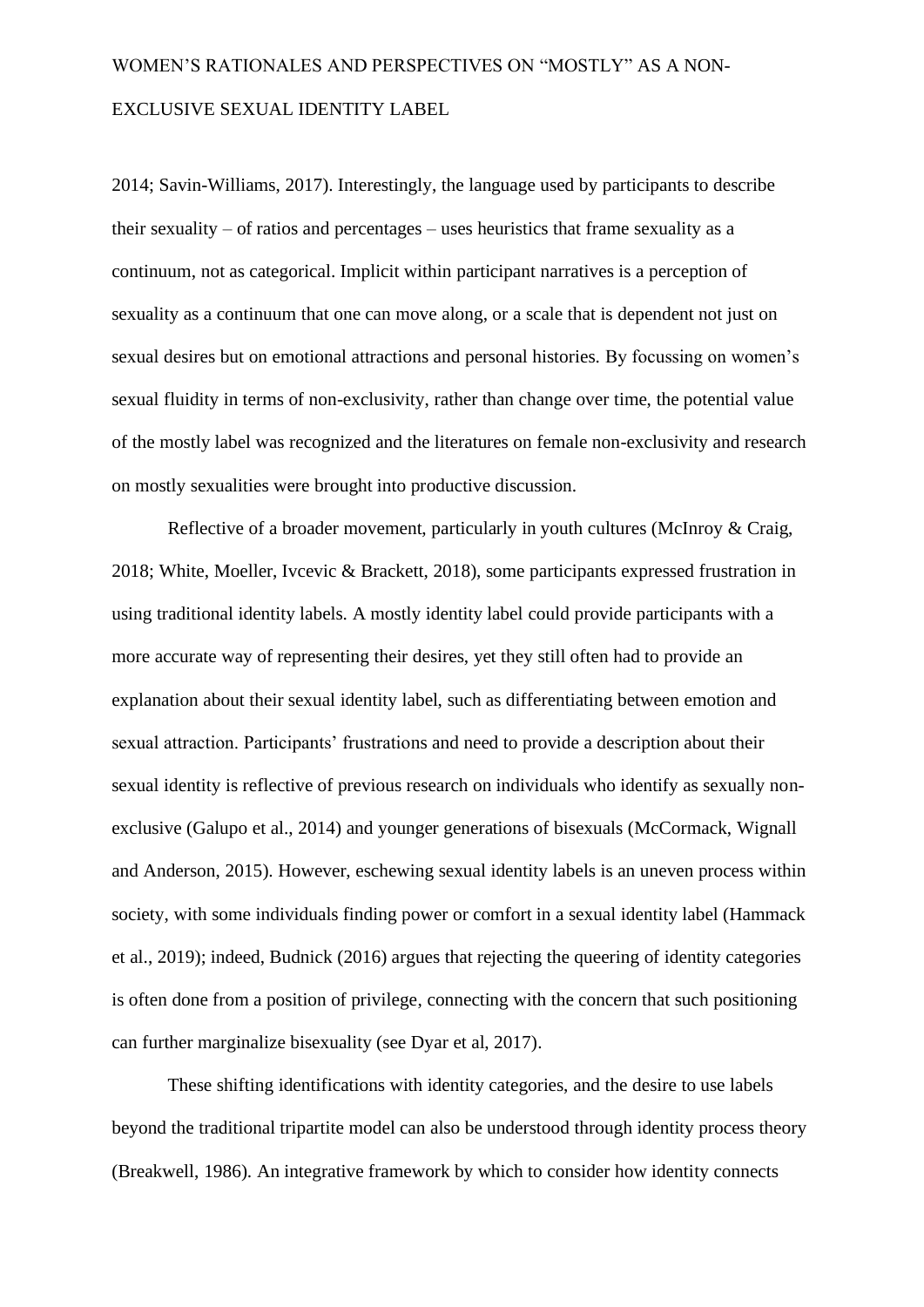2014; Savin-Williams, 2017). Interestingly, the language used by participants to describe their sexuality – of ratios and percentages – uses heuristics that frame sexuality as a continuum, not as categorical. Implicit within participant narratives is a perception of sexuality as a continuum that one can move along, or a scale that is dependent not just on sexual desires but on emotional attractions and personal histories. By focussing on women's sexual fluidity in terms of non-exclusivity, rather than change over time, the potential value of the mostly label was recognized and the literatures on female non-exclusivity and research on mostly sexualities were brought into productive discussion.

Reflective of a broader movement, particularly in youth cultures (McInroy & Craig, 2018; White, Moeller, Ivcevic & Brackett, 2018), some participants expressed frustration in using traditional identity labels. A mostly identity label could provide participants with a more accurate way of representing their desires, yet they still often had to provide an explanation about their sexual identity label, such as differentiating between emotion and sexual attraction. Participants' frustrations and need to provide a description about their sexual identity is reflective of previous research on individuals who identify as sexually nonexclusive (Galupo et al., 2014) and younger generations of bisexuals (McCormack, Wignall and Anderson, 2015). However, eschewing sexual identity labels is an uneven process within society, with some individuals finding power or comfort in a sexual identity label (Hammack et al., 2019); indeed, Budnick (2016) argues that rejecting the queering of identity categories is often done from a position of privilege, connecting with the concern that such positioning can further marginalize bisexuality (see Dyar et al, 2017).

These shifting identifications with identity categories, and the desire to use labels beyond the traditional tripartite model can also be understood through identity process theory (Breakwell, 1986). An integrative framework by which to consider how identity connects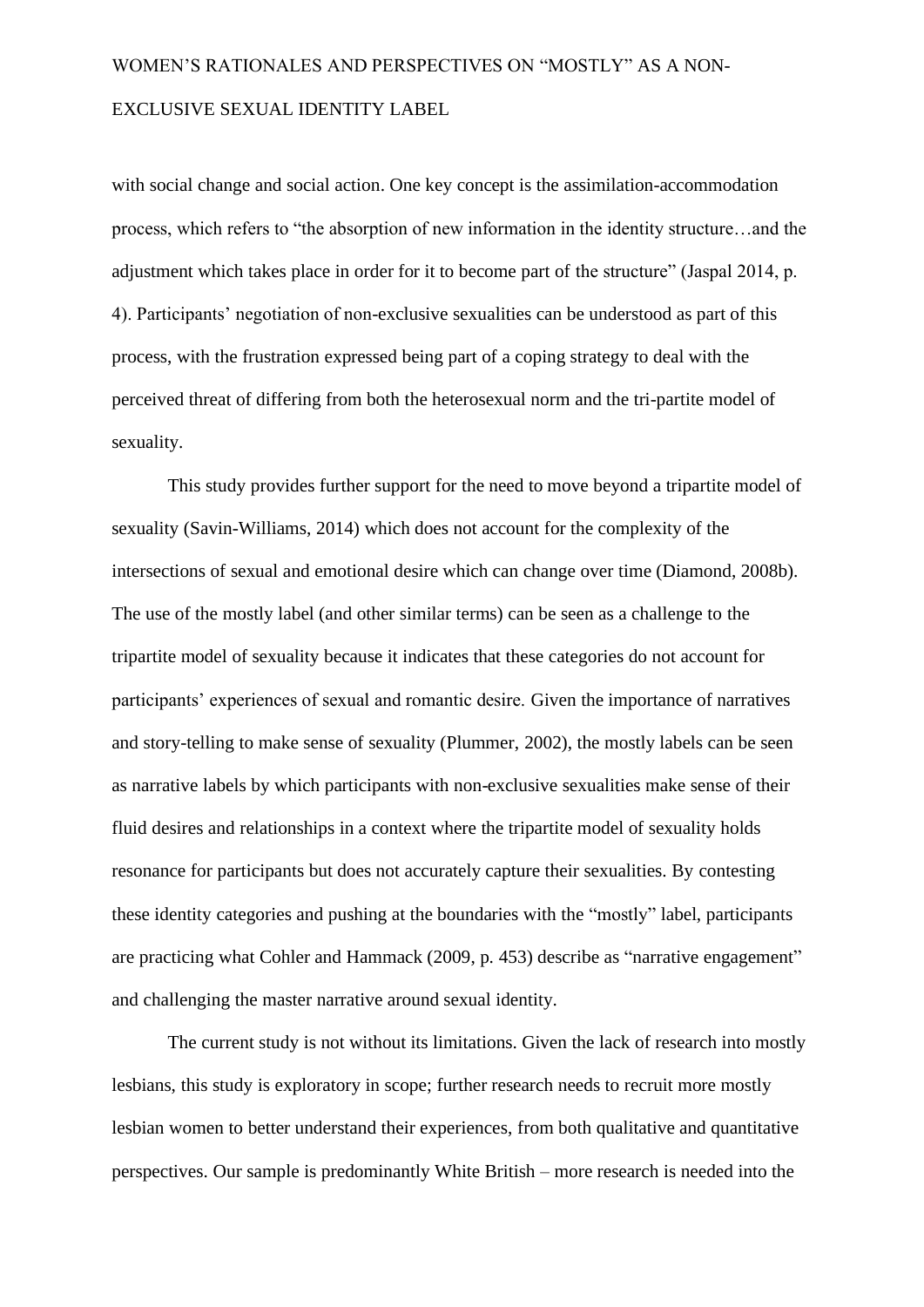with social change and social action. One key concept is the assimilation-accommodation process, which refers to "the absorption of new information in the identity structure…and the adjustment which takes place in order for it to become part of the structure" (Jaspal 2014, p. 4). Participants' negotiation of non-exclusive sexualities can be understood as part of this process, with the frustration expressed being part of a coping strategy to deal with the perceived threat of differing from both the heterosexual norm and the tri-partite model of sexuality.

This study provides further support for the need to move beyond a tripartite model of sexuality (Savin-Williams, 2014) which does not account for the complexity of the intersections of sexual and emotional desire which can change over time (Diamond, 2008b). The use of the mostly label (and other similar terms) can be seen as a challenge to the tripartite model of sexuality because it indicates that these categories do not account for participants' experiences of sexual and romantic desire. Given the importance of narratives and story-telling to make sense of sexuality (Plummer, 2002), the mostly labels can be seen as narrative labels by which participants with non-exclusive sexualities make sense of their fluid desires and relationships in a context where the tripartite model of sexuality holds resonance for participants but does not accurately capture their sexualities. By contesting these identity categories and pushing at the boundaries with the "mostly" label, participants are practicing what Cohler and Hammack (2009, p. 453) describe as "narrative engagement" and challenging the master narrative around sexual identity.

The current study is not without its limitations. Given the lack of research into mostly lesbians, this study is exploratory in scope; further research needs to recruit more mostly lesbian women to better understand their experiences, from both qualitative and quantitative perspectives. Our sample is predominantly White British – more research is needed into the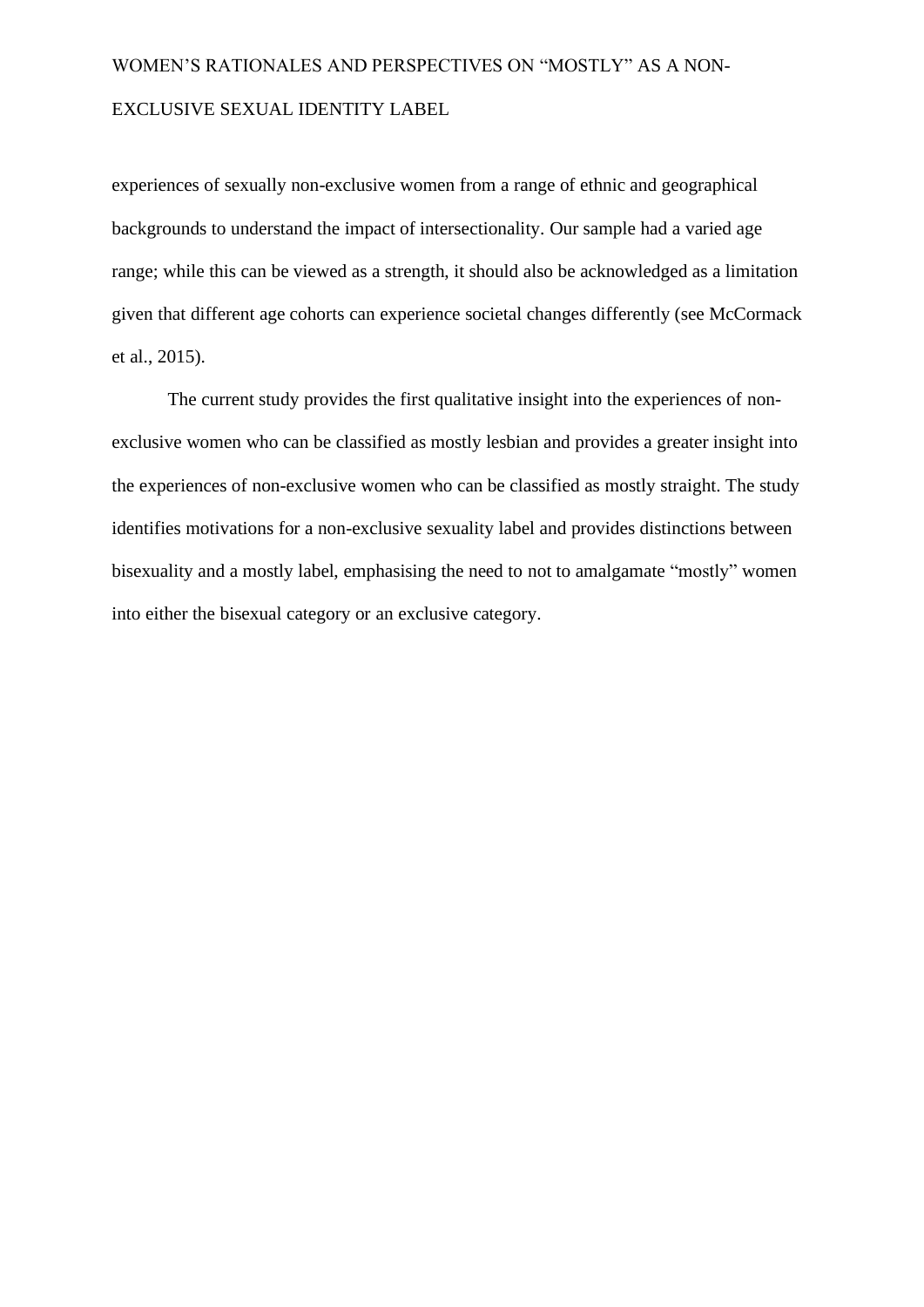experiences of sexually non-exclusive women from a range of ethnic and geographical backgrounds to understand the impact of intersectionality. Our sample had a varied age range; while this can be viewed as a strength, it should also be acknowledged as a limitation given that different age cohorts can experience societal changes differently (see McCormack et al., 2015).

The current study provides the first qualitative insight into the experiences of nonexclusive women who can be classified as mostly lesbian and provides a greater insight into the experiences of non-exclusive women who can be classified as mostly straight. The study identifies motivations for a non-exclusive sexuality label and provides distinctions between bisexuality and a mostly label, emphasising the need to not to amalgamate "mostly" women into either the bisexual category or an exclusive category.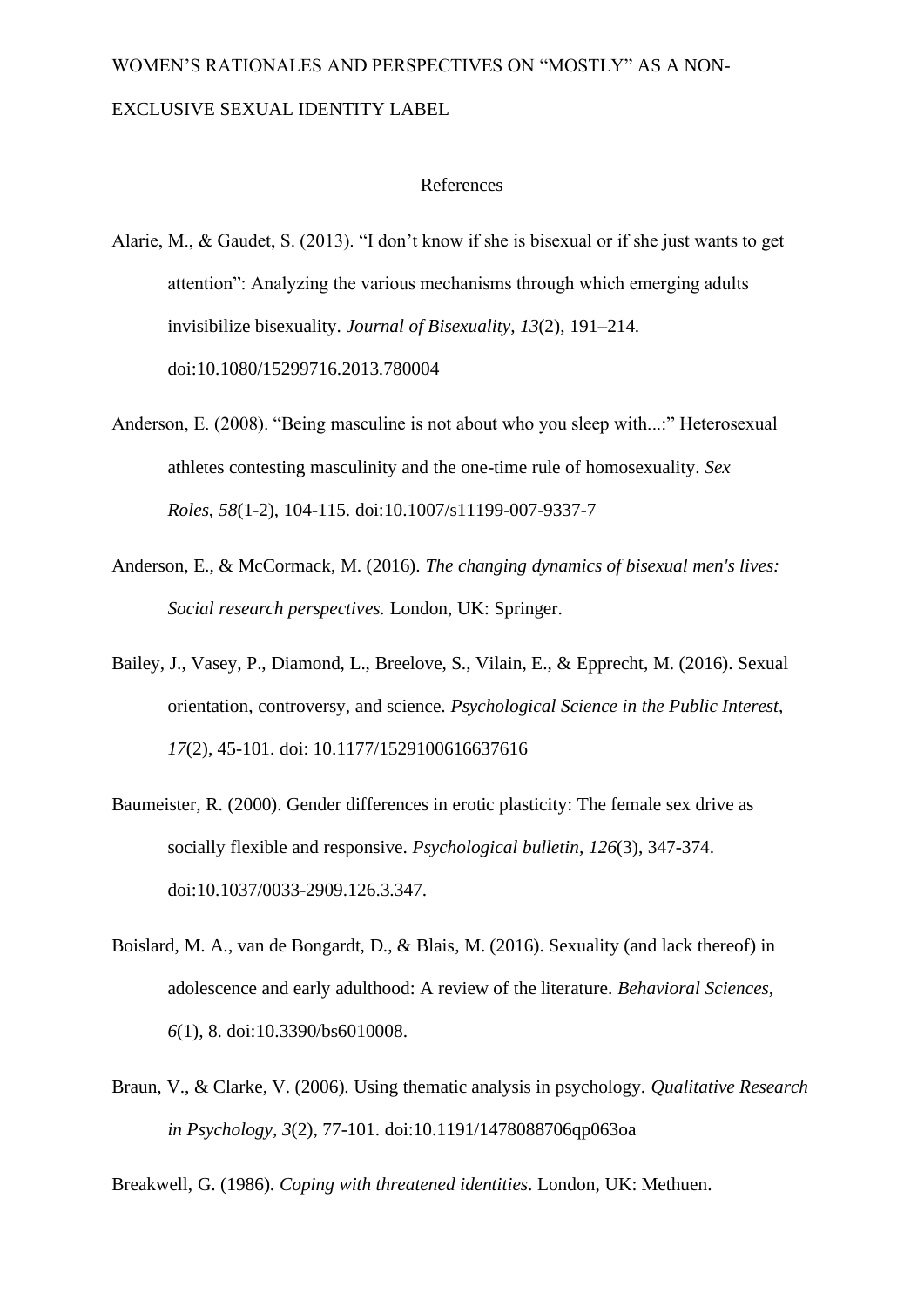#### References

- Alarie, M., & Gaudet, S. (2013). "I don't know if she is bisexual or if she just wants to get attention": Analyzing the various mechanisms through which emerging adults invisibilize bisexuality. *Journal of Bisexuality, 13*(2), 191–214. doi:10.1080/15299716.2013.780004
- Anderson, E. (2008). "Being masculine is not about who you sleep with...:" Heterosexual athletes contesting masculinity and the one-time rule of homosexuality. *Sex Roles*, *58*(1-2), 104-115. doi:10.1007/s11199-007-9337-7
- Anderson, E., & McCormack, M. (2016). *The changing dynamics of bisexual men's lives: Social research perspectives.* London, UK: Springer.
- Bailey, J., Vasey, P., Diamond, L., Breelove, S., Vilain, E., & Epprecht, M. (2016). Sexual orientation, controversy, and science. *Psychological Science in the Public Interest, 17*(2), 45-101. doi: 10.1177/1529100616637616
- Baumeister, R. (2000). Gender differences in erotic plasticity: The female sex drive as socially flexible and responsive. *Psychological bulletin, 126*(3), 347-374. doi:10.1037/0033-2909.126.3.347.
- Boislard, M. A., van de Bongardt, D., & Blais, M. (2016). Sexuality (and lack thereof) in adolescence and early adulthood: A review of the literature. *Behavioral Sciences, 6*(1), 8. doi:10.3390/bs6010008.
- Braun, V., & Clarke, V. (2006). Using thematic analysis in psychology. *Qualitative Research in Psychology, 3*(2), 77-101. doi:10.1191/1478088706qp063oa

Breakwell, G. (1986). *Coping with threatened identities*. London, UK: Methuen.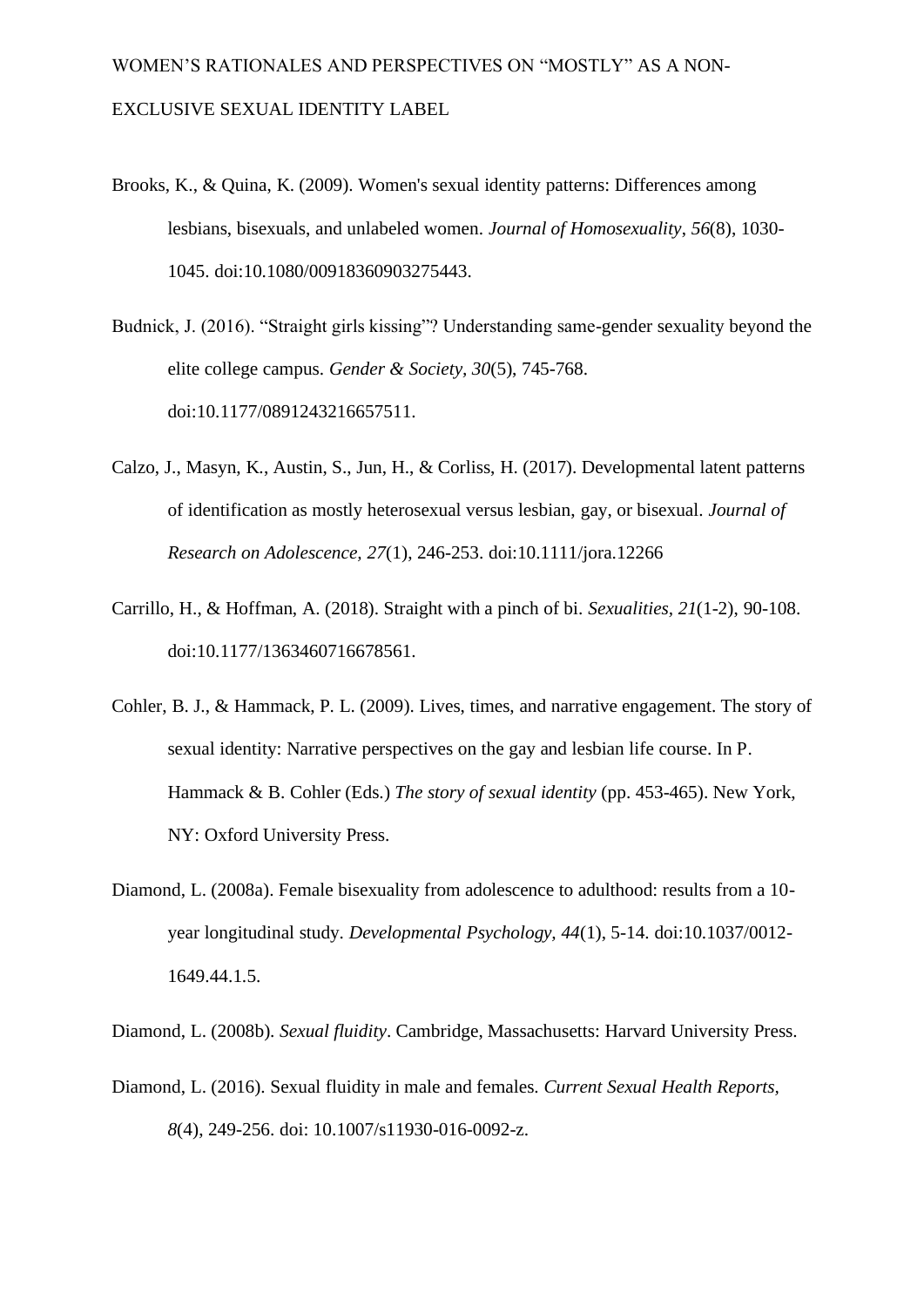- Brooks, K., & Quina, K. (2009). Women's sexual identity patterns: Differences among lesbians, bisexuals, and unlabeled women. *Journal of Homosexuality*, *56*(8), 1030- 1045. doi:10.1080/00918360903275443.
- Budnick, J. (2016). "Straight girls kissing"? Understanding same-gender sexuality beyond the elite college campus. *Gender & Society, 30*(5), 745-768. doi:10.1177/0891243216657511.
- Calzo, J., Masyn, K., Austin, S., Jun, H., & Corliss, H. (2017). Developmental latent patterns of identification as mostly heterosexual versus lesbian, gay, or bisexual. *Journal of Research on Adolescence, 27*(1), 246-253. doi:10.1111/jora.12266
- Carrillo, H., & Hoffman, A. (2018). Straight with a pinch of bi. *Sexualities, 21*(1-2), 90-108. doi:10.1177/1363460716678561.
- Cohler, B. J., & Hammack, P. L. (2009). Lives, times, and narrative engagement. The story of sexual identity: Narrative perspectives on the gay and lesbian life course. In P. Hammack & B. Cohler (Eds.) *The story of sexual identity* (pp. 453-465). New York, NY: Oxford University Press.
- Diamond, L. (2008a). Female bisexuality from adolescence to adulthood: results from a 10 year longitudinal study. *Developmental Psychology, 44*(1), 5-14. doi:10.1037/0012- 1649.44.1.5.
- Diamond, L. (2008b). *Sexual fluidity*. Cambridge, Massachusetts: Harvard University Press.
- Diamond, L. (2016). Sexual fluidity in male and females. *Current Sexual Health Reports, 8*(4), 249-256. doi: 10.1007/s11930-016-0092-z.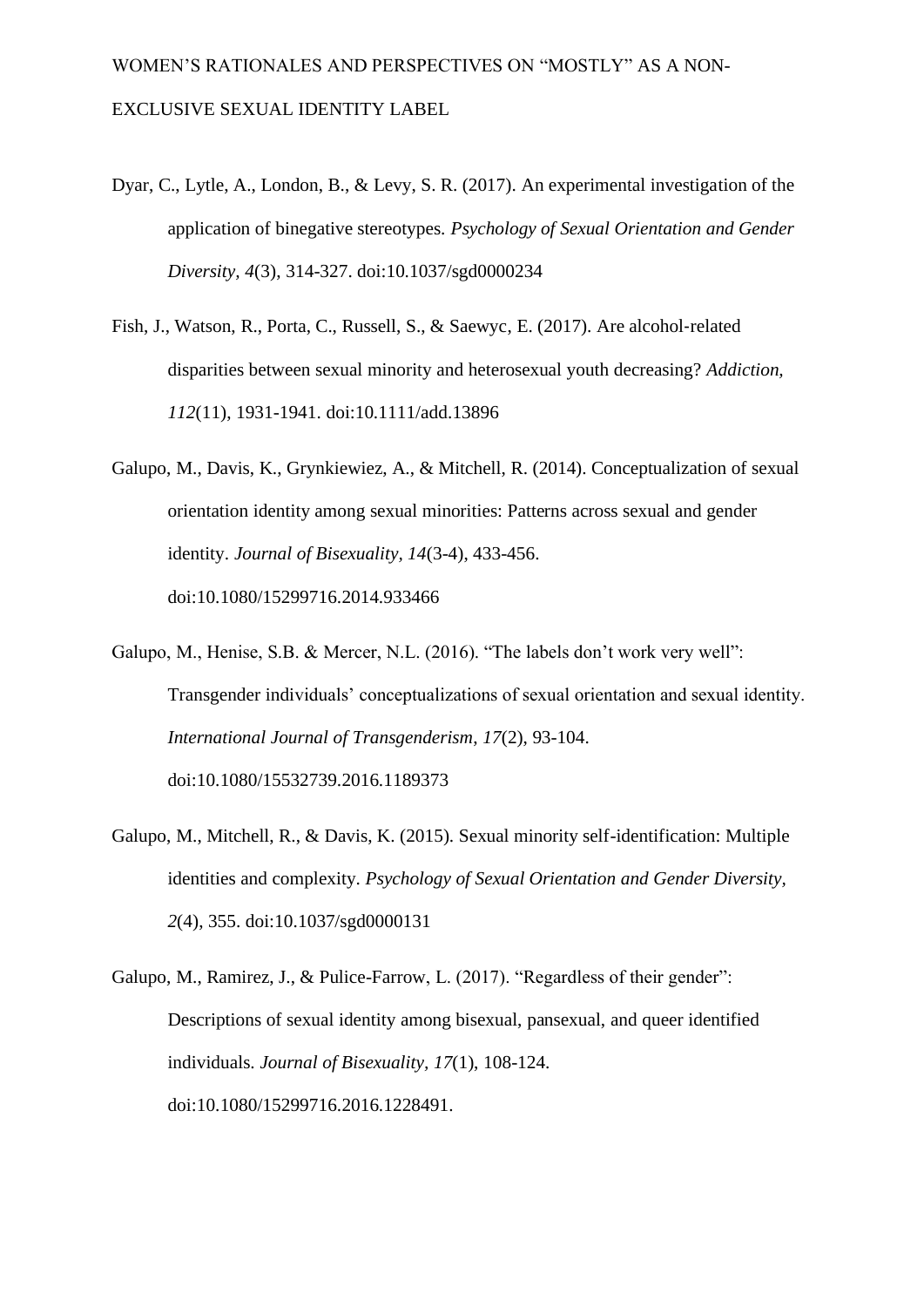- Dyar, C., Lytle, A., London, B., & Levy, S. R. (2017). An experimental investigation of the application of binegative stereotypes. *Psychology of Sexual Orientation and Gender Diversity, 4*(3), 314-327. doi:10.1037/sgd0000234
- Fish, J., Watson, R., Porta, C., Russell, S., & Saewyc, E. (2017). Are alcohol‐related disparities between sexual minority and heterosexual youth decreasing? *Addiction, 112*(11), 1931-1941. doi:10.1111/add.13896
- Galupo, M., Davis, K., Grynkiewiez, A., & Mitchell, R. (2014). Conceptualization of sexual orientation identity among sexual minorities: Patterns across sexual and gender identity. *Journal of Bisexuality, 14*(3-4), 433-456. doi:10.1080/15299716.2014.933466
- Galupo, M., Henise, S.B. & Mercer, N.L. (2016). "The labels don't work very well": Transgender individuals' conceptualizations of sexual orientation and sexual identity. *International Journal of Transgenderism*, *17*(2), 93-104. doi:10.1080/15532739.2016.1189373
- Galupo, M., Mitchell, R., & Davis, K. (2015). Sexual minority self-identification: Multiple identities and complexity. *Psychology of Sexual Orientation and Gender Diversity, 2*(4), 355. doi:10.1037/sgd0000131
- Galupo, M., Ramirez, J., & Pulice-Farrow, L. (2017). "Regardless of their gender": Descriptions of sexual identity among bisexual, pansexual, and queer identified individuals. *Journal of Bisexuality, 17*(1), 108-124. doi:10.1080/15299716.2016.1228491.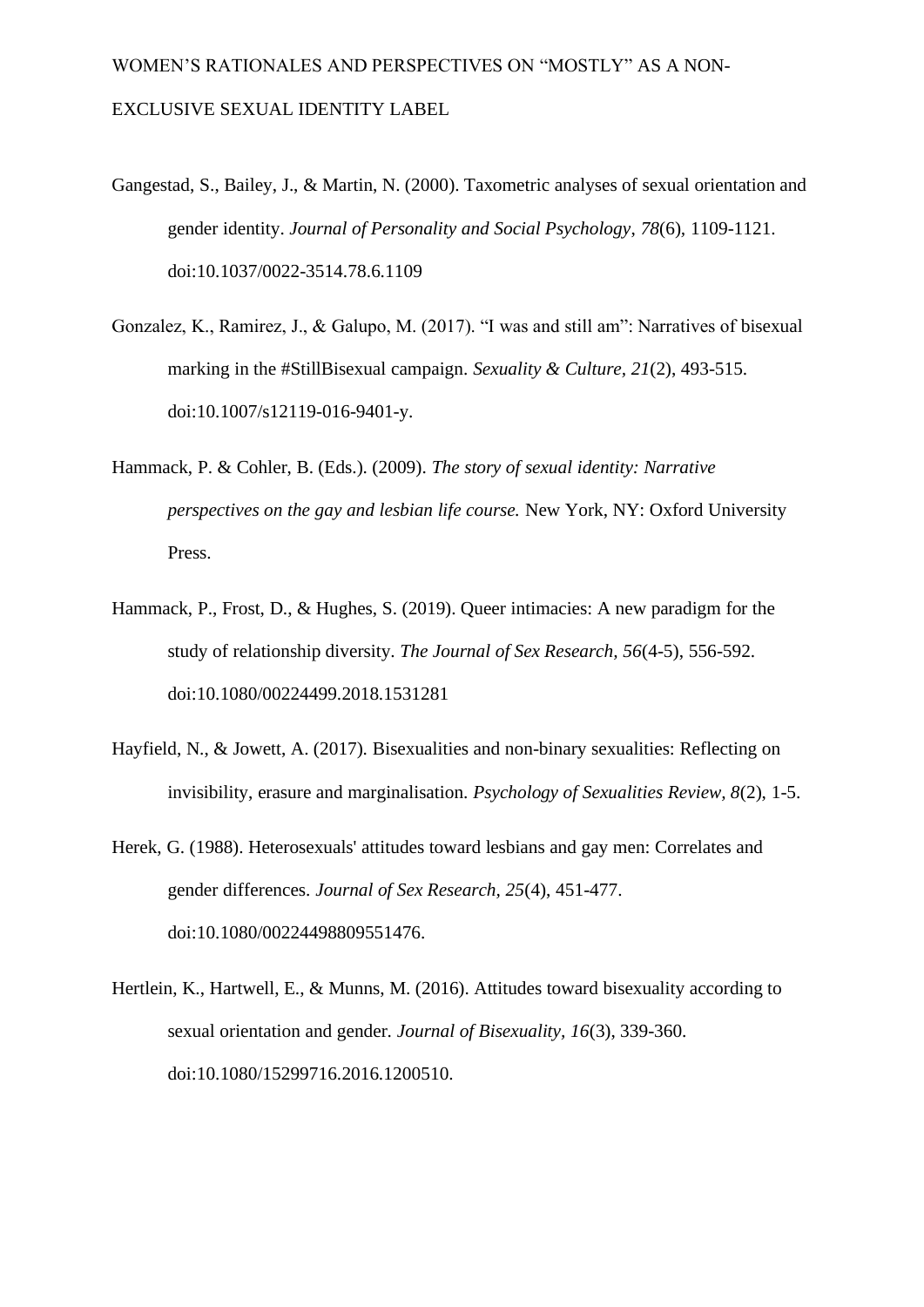- Gangestad, S., Bailey, J., & Martin, N. (2000). Taxometric analyses of sexual orientation and gender identity. *Journal of Personality and Social Psychology*, *78*(6)*,* 1109-1121. doi:10.1037/0022-3514.78.6.1109
- Gonzalez, K., Ramirez, J., & Galupo, M. (2017). "I was and still am": Narratives of bisexual marking in the #StillBisexual campaign. *Sexuality & Culture, 21*(2), 493-515. doi:10.1007/s12119-016-9401-y.
- Hammack, P. & Cohler, B. (Eds.). (2009). *The story of sexual identity: Narrative perspectives on the gay and lesbian life course.* New York, NY: Oxford University Press.
- Hammack, P., Frost, D., & Hughes, S. (2019). Queer intimacies: A new paradigm for the study of relationship diversity. *The Journal of Sex Research, 56*(4-5), 556-592. doi:10.1080/00224499.2018.1531281
- Hayfield, N., & Jowett, A. (2017). Bisexualities and non-binary sexualities: Reflecting on invisibility, erasure and marginalisation. *Psychology of Sexualities Review, 8*(2), 1-5.
- Herek, G. (1988). Heterosexuals' attitudes toward lesbians and gay men: Correlates and gender differences. *Journal of Sex Research, 25*(4), 451-477. doi:10.1080/00224498809551476.
- Hertlein, K., Hartwell, E., & Munns, M. (2016). Attitudes toward bisexuality according to sexual orientation and gender. *Journal of Bisexuality, 16*(3), 339-360. doi:10.1080/15299716.2016.1200510.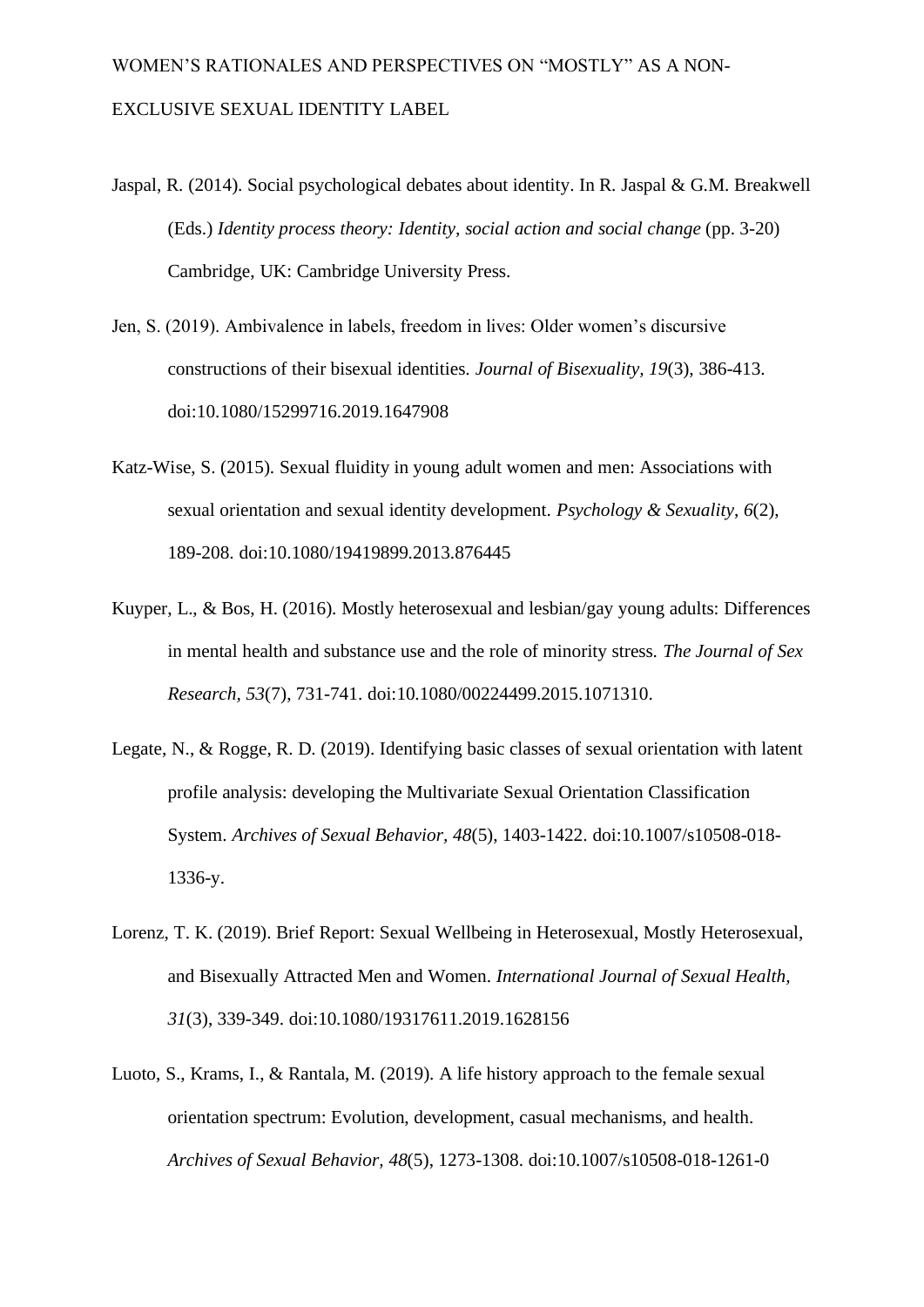- Jaspal, R. (2014). Social psychological debates about identity. In R. Jaspal & G.M. Breakwell (Eds.) *Identity process theory: Identity, social action and social change* (pp. 3-20) Cambridge, UK: Cambridge University Press.
- Jen, S. (2019). Ambivalence in labels, freedom in lives: Older women's discursive constructions of their bisexual identities. *Journal of Bisexuality, 19*(3), 386-413. doi:10.1080/15299716.2019.1647908
- Katz-Wise, S. (2015). Sexual fluidity in young adult women and men: Associations with sexual orientation and sexual identity development. *Psychology & Sexuality*, *6*(2), 189-208. doi:10.1080/19419899.2013.876445
- Kuyper, L., & Bos, H. (2016). Mostly heterosexual and lesbian/gay young adults: Differences in mental health and substance use and the role of minority stress. *The Journal of Sex Research, 53*(7), 731-741. doi:10.1080/00224499.2015.1071310.
- Legate, N., & Rogge, R. D. (2019). Identifying basic classes of sexual orientation with latent profile analysis: developing the Multivariate Sexual Orientation Classification System. *Archives of Sexual Behavior, 48*(5), 1403-1422. doi:10.1007/s10508-018- 1336-y.
- Lorenz, T. K. (2019). Brief Report: Sexual Wellbeing in Heterosexual, Mostly Heterosexual, and Bisexually Attracted Men and Women. *International Journal of Sexual Health, 31*(3), 339-349. doi:10.1080/19317611.2019.1628156
- Luoto, S., Krams, I., & Rantala, M. (2019). A life history approach to the female sexual orientation spectrum: Evolution, development, casual mechanisms, and health. *Archives of Sexual Behavior, 48*(5), 1273-1308. doi:10.1007/s10508-018-1261-0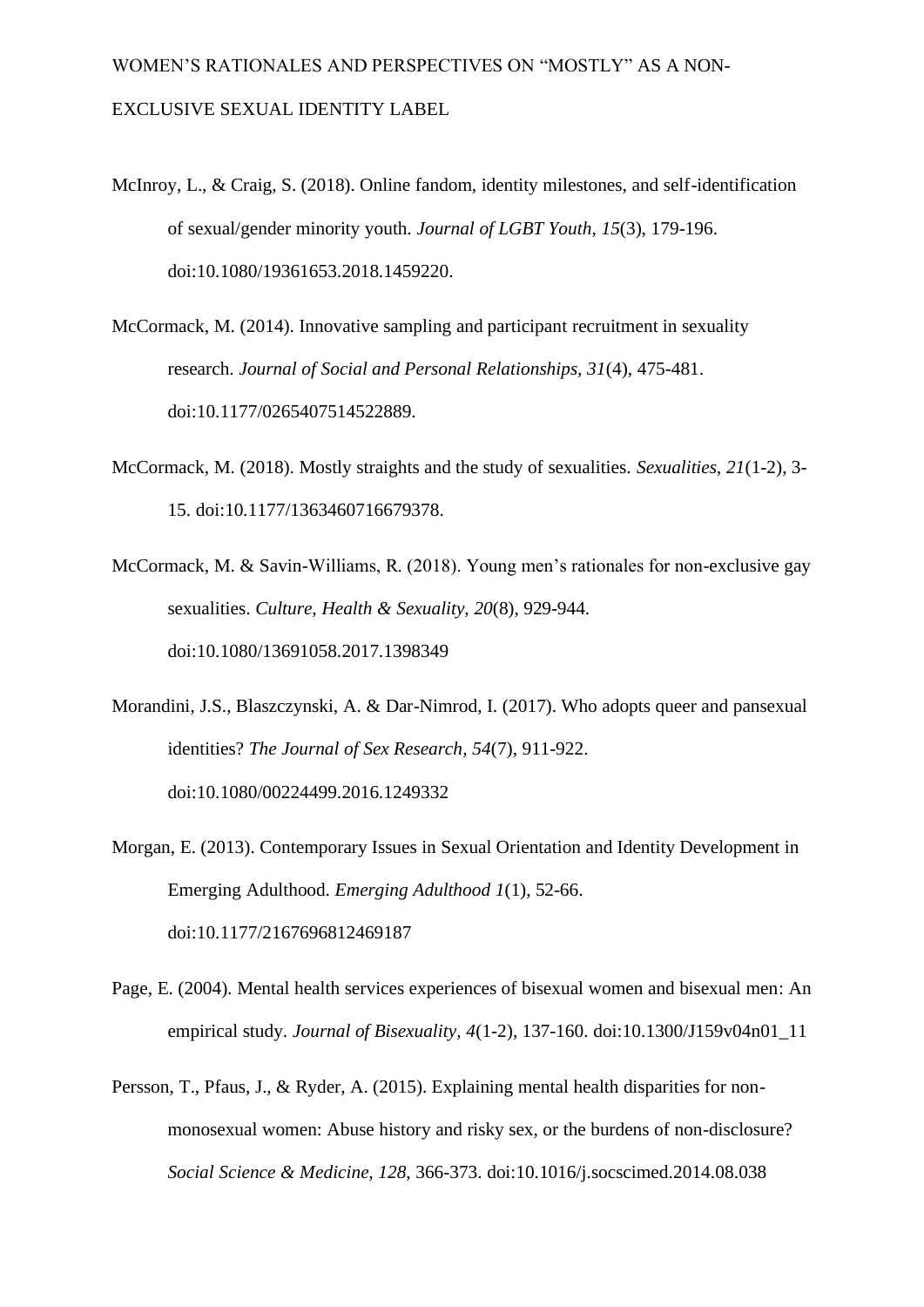- McInroy, L., & Craig, S. (2018). Online fandom, identity milestones, and self-identification of sexual/gender minority youth. *Journal of LGBT Youth, 15*(3), 179-196. doi:10.1080/19361653.2018.1459220.
- McCormack, M. (2014). Innovative sampling and participant recruitment in sexuality research. *Journal of Social and Personal Relationships, 31*(4), 475-481. doi:10.1177/0265407514522889.
- McCormack, M. (2018). Mostly straights and the study of sexualities. *Sexualities, 21*(1-2), 3- 15. doi:10.1177/1363460716679378.
- McCormack, M. & Savin-Williams, R. (2018). Young men's rationales for non-exclusive gay sexualities. *Culture, Health & Sexuality*, *20*(8), 929-944. doi:10.1080/13691058.2017.1398349
- Morandini, J.S., Blaszczynski, A. & Dar-Nimrod, I. (2017). Who adopts queer and pansexual identities? *The Journal of Sex Research, 54*(7), 911-922. doi:10.1080/00224499.2016.1249332
- Morgan, E. (2013). Contemporary Issues in Sexual Orientation and Identity Development in Emerging Adulthood. *Emerging Adulthood 1*(1), 52-66. doi:10.1177/2167696812469187
- Page, E. (2004). Mental health services experiences of bisexual women and bisexual men: An empirical study. *Journal of Bisexuality, 4*(1-2), 137-160. doi:10.1300/J159v04n01\_11
- Persson, T., Pfaus, J., & Ryder, A. (2015). Explaining mental health disparities for nonmonosexual women: Abuse history and risky sex, or the burdens of non-disclosure? *Social Science & Medicine, 128*, 366-373. doi:10.1016/j.socscimed.2014.08.038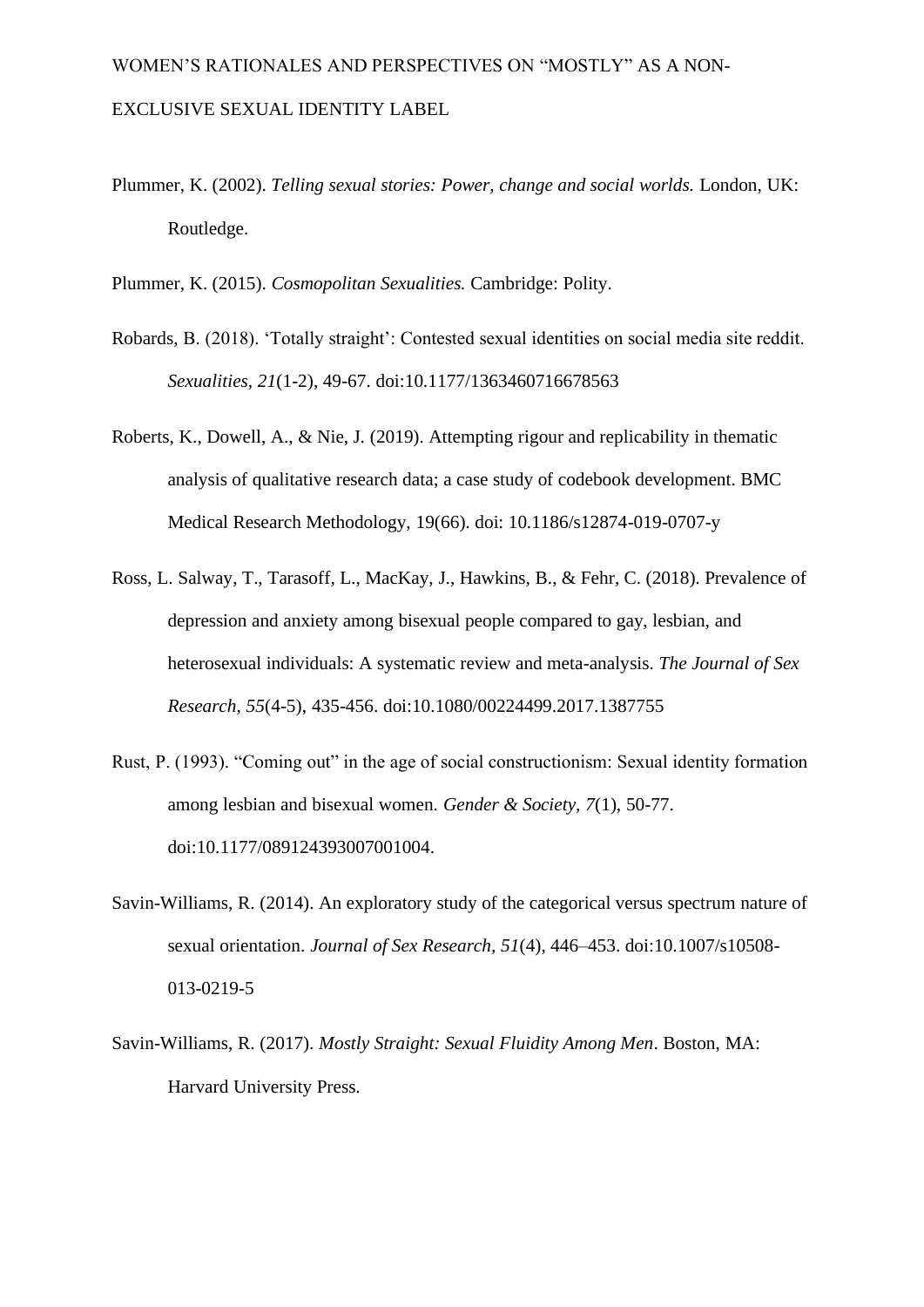- Plummer, K. (2002). *Telling sexual stories: Power, change and social worlds.* London, UK: Routledge.
- Plummer, K. (2015). *Cosmopolitan Sexualities.* Cambridge: Polity.
- Robards, B. (2018). 'Totally straight': Contested sexual identities on social media site reddit. *Sexualities, 21*(1-2), 49-67. doi:10.1177/1363460716678563
- Roberts, K., Dowell, A., & Nie, J. (2019). Attempting rigour and replicability in thematic analysis of qualitative research data; a case study of codebook development. BMC Medical Research Methodology, 19(66). doi: 10.1186/s12874-019-0707-y
- Ross, L. Salway, T., Tarasoff, L., MacKay, J., Hawkins, B., & Fehr, C. (2018). Prevalence of depression and anxiety among bisexual people compared to gay, lesbian, and heterosexual individuals: A systematic review and meta-analysis. *The Journal of Sex Research, 55*(4-5), 435-456. doi:10.1080/00224499.2017.1387755
- Rust, P. (1993). "Coming out" in the age of social constructionism: Sexual identity formation among lesbian and bisexual women. *Gender & Society, 7*(1), 50-77. doi:10.1177/089124393007001004.
- Savin-Williams, R. (2014). An exploratory study of the categorical versus spectrum nature of sexual orientation. *Journal of Sex Research, 51*(4), 446–453. doi:10.1007/s10508- 013-0219-5
- Savin-Williams, R. (2017). *Mostly Straight: Sexual Fluidity Among Men*. Boston, MA: Harvard University Press.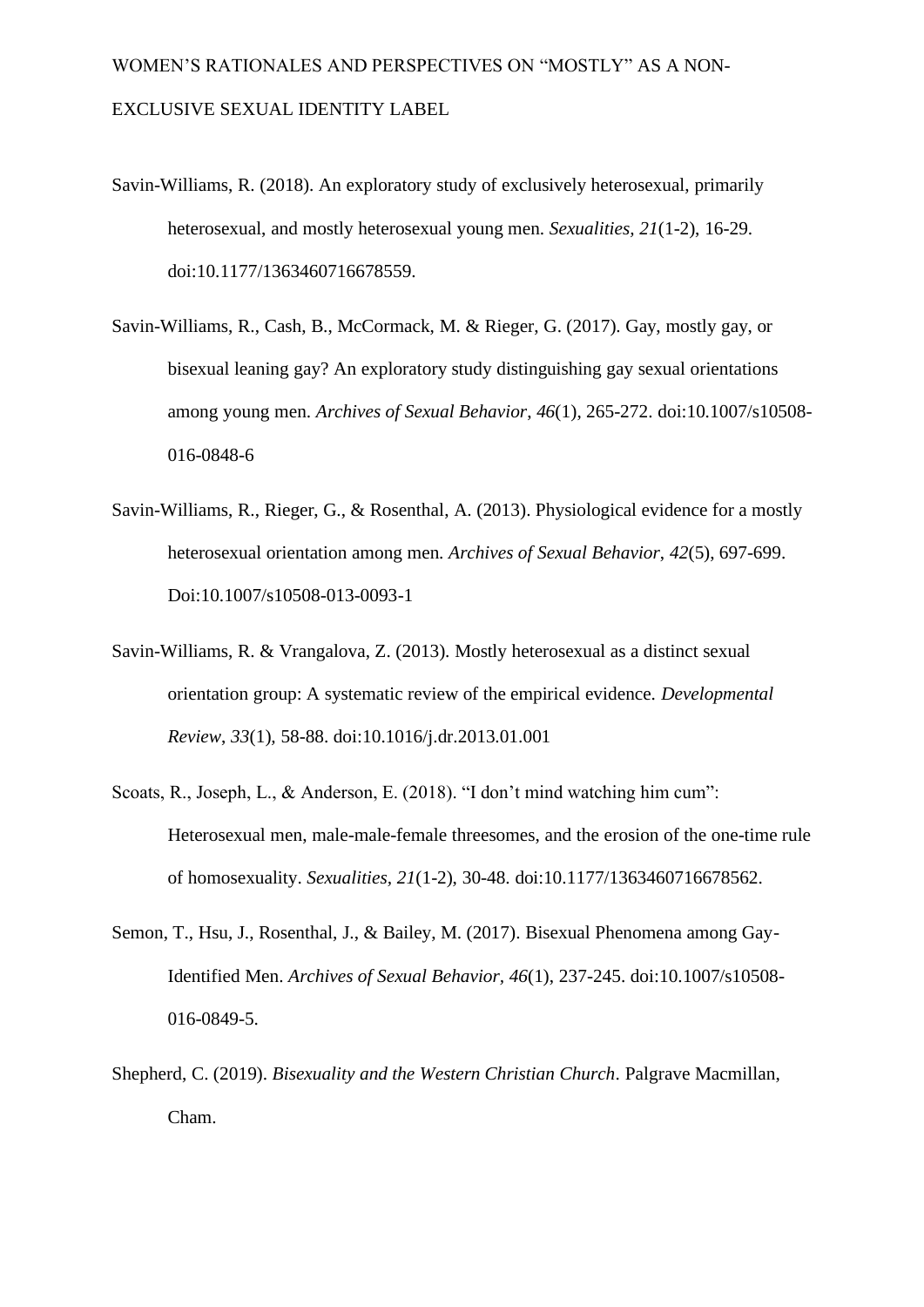- Savin-Williams, R. (2018). An exploratory study of exclusively heterosexual, primarily heterosexual, and mostly heterosexual young men. *Sexualities, 21*(1-2), 16-29. doi:10.1177/1363460716678559.
- Savin-Williams, R., Cash, B., McCormack, M. & Rieger, G. (2017). Gay, mostly gay, or bisexual leaning gay? An exploratory study distinguishing gay sexual orientations among young men. *Archives of Sexual Behavior*, *46*(1), 265-272. doi:10.1007/s10508- 016-0848-6
- Savin-Williams, R., Rieger, G., & Rosenthal, A. (2013). Physiological evidence for a mostly heterosexual orientation among men. *Archives of Sexual Behavior*, *42*(5), 697-699. Doi:10.1007/s10508-013-0093-1
- Savin-Williams, R. & Vrangalova, Z. (2013). Mostly heterosexual as a distinct sexual orientation group: A systematic review of the empirical evidence. *Developmental Review*, *33*(1)*,* 58-88. doi:10.1016/j.dr.2013.01.001
- Scoats, R., Joseph, L., & Anderson, E. (2018). "I don't mind watching him cum": Heterosexual men, male-male-female threesomes, and the erosion of the one-time rule of homosexuality. *Sexualities, 21*(1-2), 30-48. doi:10.1177/1363460716678562.
- Semon, T., Hsu, J., Rosenthal, J., & Bailey, M. (2017). Bisexual Phenomena among Gay-Identified Men. *Archives of Sexual Behavior, 46*(1), 237-245. doi:10.1007/s10508- 016-0849-5.
- Shepherd, C. (2019). *Bisexuality and the Western Christian Church*. Palgrave Macmillan, Cham.